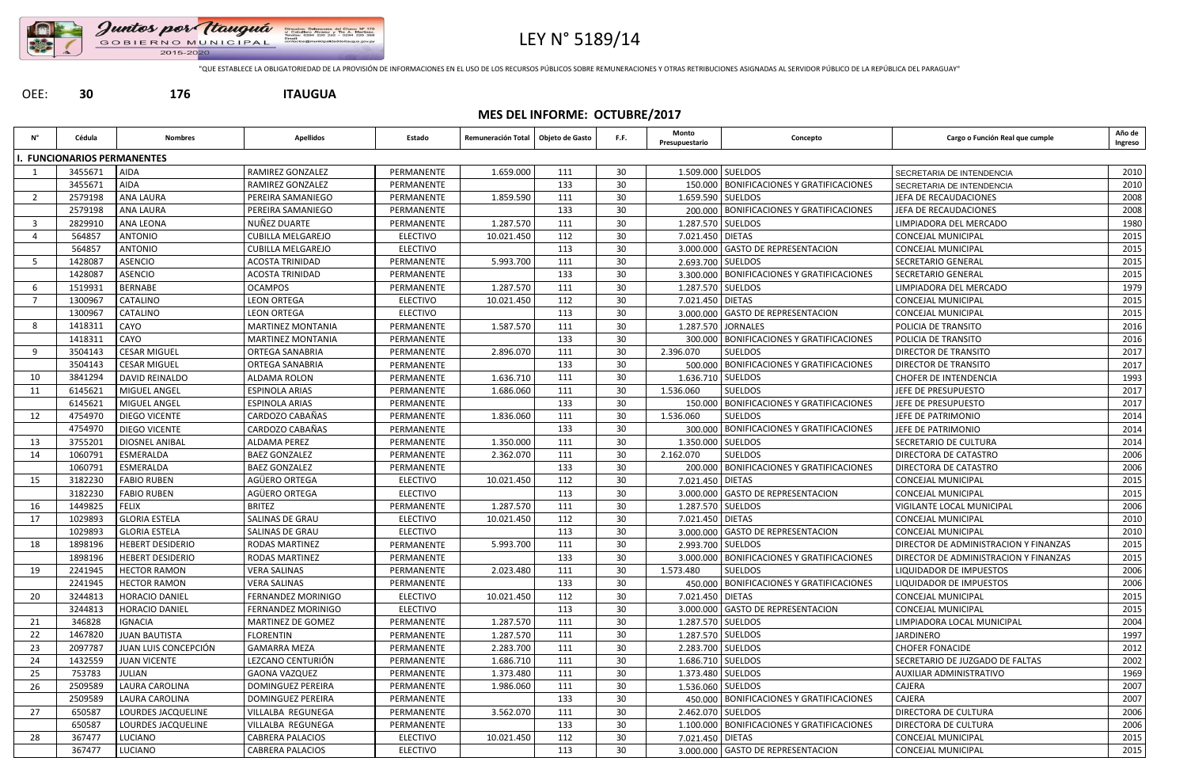

# LEY N° 5189/14

"QUE ESTABLECE LA OBLIGATORIEDAD DE LA PROVISIÓN DE INFORMACIONES EN EL USO DE LOS RECURSOS PÚBLICOS SOBRE REMUNERACIONES Y OTRAS RETRIBUCIONES ASIGNADAS AL SERVIDOR PÚBLICO DE LA REPÚBLICA DEL PARAGUAY"

## OEE: **30 176 ITAUGUA**

## **MES DEL INFORME: OCTUBRE/2017**

| Ν°                      | Cédula                          | <b>Nombres</b>            | <b>Apellidos</b>          | Estado          | Remuneración Total | Objeto de Gasto | F.F. | Monto<br>Presupuestario | Concepto                                     | Cargo o Función Real que cumple              | Año de<br>Ingreso |
|-------------------------|---------------------------------|---------------------------|---------------------------|-----------------|--------------------|-----------------|------|-------------------------|----------------------------------------------|----------------------------------------------|-------------------|
|                         | <b>FUNCIONARIOS PERMANENTES</b> |                           |                           |                 |                    |                 |      |                         |                                              |                                              |                   |
|                         | 3455671                         | <b>AIDA</b>               | RAMIREZ GONZALEZ          | PERMANENTE      | 1.659.000          | 111             | 30   | 1.509.000 SUELDOS       |                                              | SECRETARIA DE INTENDENCIA                    | 2010              |
|                         | 3455671                         | <b>AIDA</b>               | RAMIREZ GONZALEZ          | PERMANENTE      |                    | 133             | 30   |                         | 150.000   BONIFICACIONES Y GRATIFICACIONES   | SECRETARIA DE INTENDENCIA                    | 2010              |
| -2                      | 2579198                         | <b>ANA LAURA</b>          | <b>PEREIRA SAMANIEGO</b>  | PERMANENTE      | 1.859.590          | 111             | 30   | 1.659.590 SUELDOS       |                                              | JEFA DE RECAUDACIONES                        | 2008              |
|                         | 2579198                         | <b>ANA LAURA</b>          | <b>PEREIRA SAMANIEGO</b>  | PERMANENTE      |                    | 133             | 30   |                         | 200.000 BONIFICACIONES Y GRATIFICACIONES     | JEFA DE RECAUDACIONES                        | 2008              |
| $\overline{\mathbf{3}}$ | 2829910                         | ANA LEONA                 | NUÑEZ DUARTE              | PERMANENTE      | 1.287.570          | 111             | 30   | 1.287.570 SUELDOS       |                                              | LIMPIADORA DEL MERCADO                       | 1980              |
|                         | 564857                          | <b>ANTONIO</b>            | <b>CUBILLA MELGAREJO</b>  | <b>ELECTIVO</b> | 10.021.450         | 112             | 30   | 7.021.450 DIETAS        |                                              | <b>CONCEJAL MUNICIPAL</b>                    | 2015              |
|                         | 564857                          | <b>ANTONIO</b>            | <b>CUBILLA MELGAREJO</b>  | <b>ELECTIVO</b> |                    | 113             | 30   |                         | 3.000.000 GASTO DE REPRESENTACION            | CONCEJAL MUNICIPAL                           | 2015              |
| -5                      | 1428087                         | <b>ASENCIO</b>            | <b>ACOSTA TRINIDAD</b>    | PERMANENTE      | 5.993.700          | 111             | 30   | 2.693.700 SUELDOS       |                                              | <b>SECRETARIO GENERAL</b>                    | 2015              |
|                         | 1428087                         | <b>ASENCIO</b>            | <b>ACOSTA TRINIDAD</b>    | PERMANENTE      |                    | 133             | 30   |                         | 3.300.000   BONIFICACIONES Y GRATIFICACIONES | <b>SECRETARIO GENERAL</b>                    | 2015              |
| -6                      | 1519931                         | <b>BERNABE</b>            | <b>OCAMPOS</b>            | PERMANENTE      | 1.287.570          | 111             | 30   | 1.287.570 SUELDOS       |                                              | LIMPIADORA DEL MERCADO                       | 1979              |
|                         | 1300967                         | <b>CATALINO</b>           | <b>LEON ORTEGA</b>        | <b>ELECTIVO</b> | 10.021.450         | 112             | 30   | 7.021.450 DIETAS        |                                              | CONCEJAL MUNICIPAL                           | 2015              |
|                         | 1300967                         | CATALINO                  | <b>LEON ORTEGA</b>        | <b>ELECTIVO</b> |                    | 113             | 30   |                         | 3.000.000 GASTO DE REPRESENTACION            | CONCEJAL MUNICIPAL                           | 2015              |
| -8                      | 1418311                         | CAYO                      | <b>MARTINEZ MONTANIA</b>  | PERMANENTE      | 1.587.570          | 111             | 30   |                         | 1.287.570 JORNALES                           | POLICIA DE TRANSITO                          | 2016              |
|                         | 1418311                         | CAYO                      | <b>MARTINEZ MONTANIA</b>  | PERMANENTE      |                    | 133             | 30   |                         | 300.000 BONIFICACIONES Y GRATIFICACIONES     | POLICIA DE TRANSITO                          | 2016              |
| -9                      | 3504143                         | <b>CESAR MIGUEL</b>       | <b>ORTEGA SANABRIA</b>    | PERMANENTE      | 2.896.070          | 111             | 30   | 2.396.070               | <b>SUELDOS</b>                               | DIRECTOR DE TRANSITO                         | 2017              |
|                         | 3504143                         | <b>CESAR MIGUEL</b>       | <b>ORTEGA SANABRIA</b>    | PERMANENTE      |                    | 133             | 30   |                         | 500.000 BONIFICACIONES Y GRATIFICACIONES     | <b>DIRECTOR DE TRANSITO</b>                  | 2017              |
| 10                      | 3841294                         | DAVID REINALDO            | ALDAMA ROLON              | PERMANENTE      | 1.636.710          | 111             | 30   | 1.636.710   SUELDOS     |                                              | <b>CHOFER DE INTENDENCIA</b>                 | 1993              |
| 11                      | 6145621                         | MIGUEL ANGEL              | <b>ESPINOLA ARIAS</b>     | PERMANENTE      | 1.686.060          | 111             | 30   | 1.536.060               | <b>SUELDOS</b>                               | JEFE DE PRESUPUESTO                          | 2017              |
|                         | 6145621                         | MIGUEL ANGEL              | <b>ESPINOLA ARIAS</b>     | PERMANENTE      |                    | 133             | 30   |                         | 150.000   BONIFICACIONES Y GRATIFICACIONES   | JEFE DE PRESUPUESTO                          | 2017              |
| 12                      | 4754970                         | <b>DIEGO VICENTE</b>      | CARDOZO CABAÑAS           | PERMANENTE      | 1.836.060          | 111             | 30   | 1.536.060               | <b>SUELDOS</b>                               | JEFE DE PATRIMONIO                           | 2014              |
|                         | 4754970                         | <b>DIEGO VICENTE</b>      | CARDOZO CABAÑAS           | PERMANENTE      |                    | 133             | 30   |                         | 300.000   BONIFICACIONES Y GRATIFICACIONES   | JEFE DE PATRIMONIO                           | 2014              |
| 13                      | 3755201                         | <b>DIOSNEL ANIBAL</b>     | <b>ALDAMA PEREZ</b>       | PERMANENTE      | 1.350.000          | 111             | 30   | 1.350.000 SUELDOS       |                                              | SECRETARIO DE CULTURA                        | 2014              |
| 14                      | 1060791                         | ESMERALDA                 | <b>BAEZ GONZALEZ</b>      | PERMANENTE      | 2.362.070          | 111             | 30   | 2.162.070               | <b>SUELDOS</b>                               | DIRECTORA DE CATASTRO                        | 2006              |
|                         | 1060791                         | ESMERALDA                 | <b>BAEZ GONZALEZ</b>      | PERMANENTE      |                    | 133             | 30   |                         | 200.000   BONIFICACIONES Y GRATIFICACIONES   | <b>DIRECTORA DE CATASTRO</b>                 | 2006              |
| 15                      | 3182230                         | <b>FABIO RUBEN</b>        | AGÜERO ORTEGA             | <b>ELECTIVO</b> | 10.021.450         | 112             | 30   | 7.021.450 DIETAS        |                                              | <b>CONCEJAL MUNICIPAL</b>                    | 2015              |
|                         | 3182230                         | <b>FABIO RUBEN</b>        | AGÜERO ORTEGA             | <b>ELECTIVO</b> |                    | 113             | 30   |                         | 3.000.000 GASTO DE REPRESENTACION            | CONCEJAL MUNICIPAL                           | 2015              |
| 16                      | 1449825                         | <b>FELIX</b>              | <b>BRITEZ</b>             | PERMANENTE      | 1.287.570          | 111             | 30   | 1.287.570 SUELDOS       |                                              | VIGILANTE LOCAL MUNICIPAL                    | 2006              |
| 17                      | 1029893                         | <b>GLORIA ESTELA</b>      | <b>SALINAS DE GRAU</b>    | <b>ELECTIVO</b> | 10.021.450         | 112             | 30   | 7.021.450 DIETAS        |                                              | CONCEJAL MUNICIPAL                           | 2010              |
|                         | 1029893                         | <b>GLORIA ESTELA</b>      | <b>SALINAS DE GRAU</b>    | <b>ELECTIVO</b> |                    | 113             | 30   |                         | 3.000.000 GASTO DE REPRESENTACION            | <b>CONCEJAL MUNICIPAL</b>                    | 2010              |
| 18                      | 1898196                         | <b>HEBERT DESIDERIO</b>   | <b>RODAS MARTINEZ</b>     | PERMANENTE      | 5.993.700          | 111             | 30   | 2.993.700 SUELDOS       |                                              | DIRECTOR DE ADMINISTRACION Y FINANZAS        | 2015              |
|                         | 1898196                         | <b>HEBERT DESIDERIO</b>   | RODAS MARTINEZ            | PERMANENTE      |                    | 133             | 30   |                         | 3.000.000 BONIFICACIONES Y GRATIFICACIONES   | <b>DIRECTOR DE ADMINISTRACION Y FINANZAS</b> | 2015              |
| 19                      | 2241945                         | <b>HECTOR RAMON</b>       | <b>VERA SALINAS</b>       | PERMANENTE      | 2.023.480          | 111             | 30   | 1.573.480               | <b>SUELDOS</b>                               | LIQUIDADOR DE IMPUESTOS                      | 2006              |
|                         | 2241945                         | <b>HECTOR RAMON</b>       | <b>VERA SALINAS</b>       | PERMANENTE      |                    | 133             | 30   |                         | 450.000 BONIFICACIONES Y GRATIFICACIONES     | LIQUIDADOR DE IMPUESTOS                      | 2006              |
| 20                      | 3244813                         | <b>HORACIO DANIEL</b>     | <b>FERNANDEZ MORINIGO</b> | <b>ELECTIVO</b> | 10.021.450         | 112             | 30   | 7.021.450 DIETAS        |                                              | <b>CONCEJAL MUNICIPAL</b>                    | 2015              |
|                         | 3244813                         | <b>HORACIO DANIEL</b>     | <b>FERNANDEZ MORINIGO</b> | <b>ELECTIVO</b> |                    | 113             | 30   |                         | 3.000.000 GASTO DE REPRESENTACION            | CONCEJAL MUNICIPAL                           | 2015              |
| 21                      | 346828                          | IGNACIA                   | <b>MARTINEZ DE GOMEZ</b>  | PERMANENTE      | 1.287.570          | 111             | 30   | 1.287.570 SUELDOS       |                                              | LIMPIADORA LOCAL MUNICIPAL                   | 2004              |
| 22                      | 1467820                         | <b>JUAN BAUTISTA</b>      | <b>FLORENTIN</b>          | PERMANENTE      | 1.287.570          | 111             | 30   | 1.287.570 SUELDOS       |                                              | <b>JARDINERO</b>                             | 1997              |
| 23                      | 2097787                         | JUAN LUIS CONCEPCIÓN      | <b>GAMARRA MEZA</b>       | PERMANENTE      | 2.283.700          | 111             | 30   | 2.283.700 SUELDOS       |                                              | <b>CHOFER FONACIDE</b>                       | 2012              |
| 24                      | 1432559                         | <b>JUAN VICENTE</b>       | LEZCANO CENTURIÓN         | PERMANENTE      | 1.686.710          | 111             | 30   |                         | 1.686.710 SUELDOS                            | SECRETARIO DE JUZGADO DE FALTAS              | 2002              |
| 25                      | 753783                          | JULIAN                    | <b>GAONA VAZQUEZ</b>      | PERMANENTE      | 1.373.480          | 111             | 30   |                         | 1.373.480 SUELDOS                            | AUXILIAR ADMINISTRATIVO                      | 1969              |
| 26                      | 2509589                         | LAURA CAROLINA            | DOMINGUEZ PEREIRA         | PERMANENTE      | 1.986.060          | 111             | 30   |                         | 1.536.060 SUELDOS                            | CAJERA                                       | 2007              |
|                         | 2509589                         | LAURA CAROLINA            | <b>DOMINGUEZ PEREIRA</b>  | PERMANENTE      |                    | 133             | 30   |                         | 450.000 BONIFICACIONES Y GRATIFICACIONES     | CAJERA                                       | 2007              |
| 27                      | 650587                          | LOURDES JACQUELINE        | <b>VILLALBA REGUNEGA</b>  | PERMANENTE      | 3.562.070          | 111             | 30   | 2.462.070 SUELDOS       |                                              | DIRECTORA DE CULTURA                         | 2006              |
|                         | 650587                          | <b>LOURDES JACQUELINE</b> | <b>VILLALBA REGUNEGA</b>  | PERMANENTE      |                    | 133             | 30   |                         | 1.100.000   BONIFICACIONES Y GRATIFICACIONES | DIRECTORA DE CULTURA                         | 2006              |
| 28                      | 367477                          | LUCIANO                   | <b>CABRERA PALACIOS</b>   | <b>ELECTIVO</b> | 10.021.450         | 112             | 30   | 7.021.450 DIETAS        |                                              | <b>CONCEJAL MUNICIPAL</b>                    | 2015              |
|                         | 367477                          | LUCIANO                   | <b>CABRERA PALACIOS</b>   | <b>ELECTIVO</b> |                    | 113             | 30   |                         | 3.000.000 GASTO DE REPRESENTACION            | CONCEJAL MUNICIPAL                           | 2015              |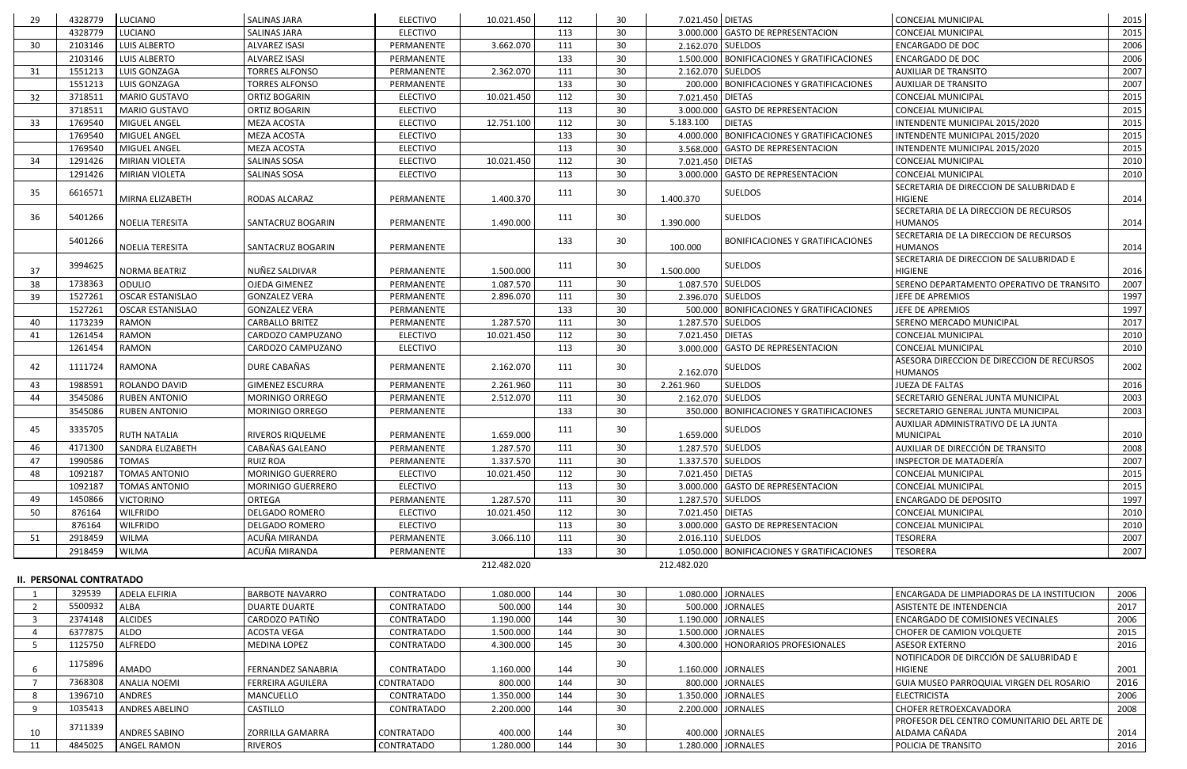| 29             | 4328779                        | <b>LUCIANO</b>          | <b>SALINAS JARA</b>       | <b>ELECTIVO</b>   | 10.021.450  | 112 | 30              | 7.021.450 DIETAS  |                                              | CONCEJAL MUNICIPAL                          | 2015 |
|----------------|--------------------------------|-------------------------|---------------------------|-------------------|-------------|-----|-----------------|-------------------|----------------------------------------------|---------------------------------------------|------|
|                | 4328779                        | LUCIANO                 | <b>SALINAS JARA</b>       | <b>ELECTIVO</b>   |             | 113 | 30              |                   | 3.000.000 GASTO DE REPRESENTACION            | <b>CONCEJAL MUNICIPAL</b>                   | 2015 |
| 30             | 2103146                        | LUIS ALBERTO            | <b>ALVAREZ ISASI</b>      | PERMANENTE        | 3.662.070   | 111 | 30              | 2.162.070 SUELDOS |                                              | <b>ENCARGADO DE DOC</b>                     | 2006 |
|                | 2103146                        | LUIS ALBERTO            | <b>ALVAREZ ISASI</b>      | PERMANENTE        |             | 133 | 30              |                   | 1.500.000 BONIFICACIONES Y GRATIFICACIONES   | <b>ENCARGADO DE DOC</b>                     | 2006 |
| 31             | 1551213                        | LUIS GONZAGA            | <b>TORRES ALFONSO</b>     | PERMANENTE        | 2.362.070   | 111 | 30 <sup>°</sup> | 2.162.070 SUELDOS |                                              | <b>AUXILIAR DE TRANSITO</b>                 | 2007 |
|                | 1551213                        | LUIS GONZAGA            | <b>TORRES ALFONSO</b>     | PERMANENTE        |             | 133 | 30              |                   | 200.000 BONIFICACIONES Y GRATIFICACIONES     | <b>AUXILIAR DE TRANSITO</b>                 | 2007 |
| 32             | 3718511                        | <b>MARIO GUSTAVO</b>    | <b>ORTIZ BOGARIN</b>      | <b>ELECTIVO</b>   | 10.021.450  | 112 | 30              | 7.021.450 DIETAS  |                                              | CONCEJAL MUNICIPAL                          | 2015 |
|                | 3718511                        | <b>MARIO GUSTAVO</b>    | <b>ORTIZ BOGARIN</b>      | <b>ELECTIVO</b>   |             | 113 | 30 <sup>°</sup> |                   | 3.000.000 GASTO DE REPRESENTACION            | <b>CONCEJAL MUNICIPAL</b>                   | 2015 |
| 33             | 1769540                        | MIGUEL ANGEL            | MEZA ACOSTA               | <b>ELECTIVO</b>   | 12.751.100  | 112 | 30              | 5.183.100         | <b>DIETAS</b>                                | INTENDENTE MUNICIPAL 2015/2020              | 2015 |
|                | 1769540                        | MIGUEL ANGEL            | MEZA ACOSTA               | <b>ELECTIVO</b>   |             | 133 | 30 <sup>°</sup> | 4.000.000         | <b>BONIFICACIONES Y GRATIFICACIONES</b>      | INTENDENTE MUNICIPAL 2015/2020              | 2015 |
|                | 1769540                        | MIGUEL ANGEL            | MEZA ACOSTA               | <b>ELECTIVO</b>   |             | 113 | 30              |                   | 3.568.000 GASTO DE REPRESENTACION            | INTENDENTE MUNICIPAL 2015/2020              | 2015 |
| 34             | 1291426                        | <b>MIRIAN VIOLETA</b>   | <b>SALINAS SOSA</b>       | <b>ELECTIVO</b>   | 10.021.450  | 112 | 30              | 7.021.450 DIETAS  |                                              | CONCEJAL MUNICIPAL                          | 2010 |
|                | 1291426                        | <b>MIRIAN VIOLETA</b>   | <b>SALINAS SOSA</b>       | <b>ELECTIVO</b>   |             | 113 | 30 <sup>°</sup> |                   | 3.000.000 GASTO DE REPRESENTACION            | CONCEJAL MUNICIPAL                          | 2010 |
|                |                                |                         |                           |                   |             |     |                 |                   |                                              | SECRETARIA DE DIRECCION DE SALUBRIDAD E     |      |
| 35             | 6616571                        | MIRNA ELIZABETH         | RODAS ALCARAZ             | PERMANENTE        | 1.400.370   | 111 | 30              | 1.400.370         | <b>SUELDOS</b>                               | <b>HIGIENE</b>                              | 2014 |
|                |                                |                         |                           |                   |             |     |                 |                   |                                              | SECRETARIA DE LA DIRECCION DE RECURSOS      |      |
| 36             | 5401266                        | <b>NOELIA TERESITA</b>  | <b>SANTACRUZ BOGARIN</b>  | PERMANENTE        | 1.490.000   | 111 | 30              | 1.390.000         | <b>SUELDOS</b>                               | <b>HUMANOS</b>                              | 2014 |
|                |                                |                         |                           |                   |             |     |                 |                   |                                              | SECRETARIA DE LA DIRECCION DE RECURSOS      |      |
|                | 5401266                        | NOELIA TERESITA         | SANTACRUZ BOGARIN         | PERMANENTE        |             | 133 | 30              | 100.000           | <b>BONIFICACIONES Y GRATIFICACIONES</b>      | <b>HUMANOS</b>                              | 2014 |
|                | 3994625                        |                         |                           |                   |             | 111 | 30              |                   | <b>SUELDOS</b>                               | SECRETARIA DE DIRECCION DE SALUBRIDAD E     |      |
| 37             |                                | NORMA BEATRIZ           | NUÑEZ SALDIVAR            | PERMANENTE        | 1.500.000   |     |                 | 1.500.000         |                                              | HIGIENE                                     | 2016 |
| 38             | 1738363                        | ODULIO                  | <b>OJEDA GIMENEZ</b>      | PERMANENTE        | 1.087.570   | 111 | 30              | 1.087.570 SUELDOS |                                              | SERENO DEPARTAMENTO OPERATIVO DE TRANSITO   | 2007 |
| 39             | 1527261                        | <b>OSCAR ESTANISLAO</b> | <b>GONZALEZ VERA</b>      | PERMANENTE        | 2.896.070   | 111 | 30 <sup>°</sup> | 2.396.070 SUELDOS |                                              | JEFE DE APREMIOS                            | 1997 |
|                | 1527261                        | <b>OSCAR ESTANISLAO</b> | <b>GONZALEZ VERA</b>      | PERMANENTE        |             | 133 | 30              |                   | 500.000 BONIFICACIONES Y GRATIFICACIONES     | JEFE DE APREMIOS                            | 1997 |
| 40             | 1173239                        | RAMON                   | <b>CARBALLO BRITEZ</b>    | PERMANENTE        | 1.287.570   | 111 | 30              | 1.287.570 SUELDOS |                                              | SERENO MERCADO MUNICIPAL                    | 2017 |
| 41             | 1261454                        | <b>RAMON</b>            | CARDOZO CAMPUZANO         | <b>ELECTIVO</b>   | 10.021.450  | 112 | 30              | 7.021.450 DIETAS  |                                              | <b>CONCEJAL MUNICIPAL</b>                   | 2010 |
|                | 1261454                        | <b>RAMON</b>            | CARDOZO CAMPUZANO         | <b>ELECTIVO</b>   |             | 113 | 30              |                   | 3.000.000 GASTO DE REPRESENTACION            | CONCEJAL MUNICIPAL                          | 2010 |
| 42             | 1111724                        | RAMONA                  | DURE CABAÑAS              | PERMANENTE        | 2.162.070   | 111 | 30              |                   | SUELDOS                                      | ASESORA DIRECCION DE DIRECCION DE RECURSOS  | 2002 |
|                |                                |                         |                           |                   |             |     |                 | 2.162.070         |                                              | <b>HUMANOS</b>                              |      |
| 43             | 1988591                        | ROLANDO DAVID           | <b>GIMENEZ ESCURRA</b>    | PERMANENTE        | 2.261.960   | 111 | 30              | 2.261.960         | <b>SUELDOS</b>                               | <b>JUEZA DE FALTAS</b>                      | 2016 |
| 44             | 3545086                        | <b>RUBEN ANTONIO</b>    | MORINIGO ORREGO           | PERMANENTE        | 2.512.070   | 111 | 30              | 2.162.070         | SUELDOS                                      | SECRETARIO GENERAL JUNTA MUNICIPAL          | 2003 |
|                | 3545086                        | <b>RUBEN ANTONIO</b>    | <b>MORINIGO ORREGO</b>    | PERMANENTE        |             | 133 | 30              |                   | 350.000 BONIFICACIONES Y GRATIFICACIONES     | SECRETARIO GENERAL JUNTA MUNICIPAL          | 2003 |
| 45             | 3335705                        |                         |                           |                   |             | 111 | 30              |                   | <b>SUELDOS</b>                               | AUXILIAR ADMINISTRATIVO DE LA JUNTA         |      |
|                |                                | <b>RUTH NATALIA</b>     | <b>RIVEROS RIQUELME</b>   | PERMANENTE        | 1.659.000   |     |                 | 1.659.000         |                                              | <b>MUNICIPAL</b>                            | 2010 |
| 46             | 4171300                        | SANDRA ELIZABETH        | CABAÑAS GALEANO           | PERMANENTE        | 1.287.570   | 111 | 30              | 1.287.570 SUELDOS |                                              | AUXILIAR DE DIRECCIÓN DE TRANSITO           | 2008 |
| 47             | 1990586                        | <b>TOMAS</b>            | <b>RUIZ ROA</b>           | PERMANENTE        | 1.337.570   | 111 | 30              | 1.337.570 SUELDOS |                                              | INSPECTOR DE MATADERÍA                      | 2007 |
| 48             | 1092187                        | <b>TOMAS ANTONIO</b>    | MORINIGO GUERRERO         | <b>ELECTIVO</b>   | 10.021.450  | 112 | 30              | 7.021.450 DIETAS  |                                              | <b>CONCEJAL MUNICIPAL</b>                   | 2015 |
|                | 1092187                        | <b>TOMAS ANTONIO</b>    | <b>MORINIGO GUERRERO</b>  | <b>ELECTIVO</b>   |             | 113 | 30              |                   | 3.000.000 GASTO DE REPRESENTACION            | <b>CONCEJAL MUNICIPAL</b>                   | 2015 |
| 49             | 1450866                        | <b>VICTORINO</b>        | ORTEGA                    | PERMANENTE        | 1.287.570   | 111 | 30              | 1.287.570 SUELDOS |                                              | <b>ENCARGADO DE DEPOSITO</b>                | 1997 |
| 50             | 876164                         | <b>WILFRIDO</b>         | <b>DELGADO ROMERO</b>     | <b>ELECTIVO</b>   | 10.021.450  | 112 | 30 <sup>°</sup> | 7.021.450 DIETAS  |                                              | <b>CONCEJAL MUNICIPAL</b>                   | 2010 |
|                | 876164                         | <b>WILFRIDO</b>         | <b>DELGADO ROMERO</b>     | <b>ELECTIVO</b>   |             | 113 | 30              |                   | 3.000.000 GASTO DE REPRESENTACION            | <b>CONCEJAL MUNICIPAL</b>                   | 2010 |
| 51             | 2918459                        | <b>WILMA</b>            | ACUÑA MIRANDA             | PERMANENTE        | 3.066.110   | 111 | 30 <sup>°</sup> | 2.016.110 SUELDOS |                                              | <b>TESORERA</b>                             | 2007 |
|                | 2918459                        | <b>WILMA</b>            | ACUÑA MIRANDA             | PERMANENTE        |             | 133 | 30              |                   | 1.050.000   BONIFICACIONES Y GRATIFICACIONES | <b>TESORERA</b>                             | 2007 |
|                |                                |                         |                           |                   | 212.482.020 |     |                 | 212.482.020       |                                              |                                             |      |
|                | <b>II. PERSONAL CONTRATADO</b> |                         |                           |                   |             |     |                 |                   |                                              |                                             |      |
|                | 329539                         | ADELA ELFIRIA           | <b>BARBOTE NAVARRO</b>    | CONTRATADO        | 1.080.000   | 144 | 30 <sup>°</sup> |                   | 1.080.000 JORNALES                           | ENCARGADA DE LIMPIADORAS DE LA INSTITUCION  | 2006 |
| $\overline{2}$ | 5500932                        | <b>ALBA</b>             | <b>DUARTE DUARTE</b>      | CONTRATADO        | 500.000     | 144 | 30              |                   | 500.000 JORNALES                             | ASISTENTE DE INTENDENCIA                    | 2017 |
| -3             | 2374148                        | <b>ALCIDES</b>          | CARDOZO PATIÑO            | <b>CONTRATADO</b> | 1.190.000   | 144 | 30              |                   | 1.190.000 JORNALES                           | ENCARGADO DE COMISIONES VECINALES           | 2006 |
|                | 6377875                        | ALDO                    | ACOSTA VEGA               | CONTRATADO        | 1.500.000   | 144 | 30              |                   | 1.500.000 JORNALES                           | CHOFER DE CAMION VOLQUETE                   | 2015 |
| -5             | 1125750                        | <b>ALFREDO</b>          | <b>MEDINA LOPEZ</b>       | <b>CONTRATADO</b> | 4.300.000   | 145 | 30              |                   | 4.300.000   HONORARIOS PROFESIONALES         | <b>ASESOR EXTERNO</b>                       | 2016 |
|                |                                |                         |                           |                   |             |     |                 |                   |                                              | NOTIFICADOR DE DIRCCIÓN DE SALUBRIDAD E     |      |
| -6             | 1175896                        | <b>AMADO</b>            | <b>FERNANDEZ SANABRIA</b> | CONTRATADO        | 1.160.000   | 144 | 30              |                   | 1.160.000 JORNALES                           | <b>HIGIENE</b>                              | 2001 |
|                | 7368308                        | <b>ANALIA NOEMI</b>     | <b>FERREIRA AGUILERA</b>  | <b>CONTRATADO</b> | 800.000     | 144 | 30 <sup>°</sup> |                   | 800.000 JORNALES                             | GUIA MUSEO PARROQUIAL VIRGEN DEL ROSARIO    | 2016 |
| -8             | 1396710                        | ANDRES                  | MANCUELLO                 | CONTRATADO        | 1.350.000   | 144 | 30 <sup>°</sup> |                   | 1.350.000 JORNALES                           | <b>ELECTRICISTA</b>                         | 2006 |
| -9             | 1035413                        | <b>ANDRES ABELINO</b>   | <b>CASTILLO</b>           | CONTRATADO        | 2.200.000   | 144 | 30              |                   | 2.200.000 JORNALES                           | CHOFER RETROEXCAVADORA                      | 2008 |
|                |                                |                         |                           |                   |             |     |                 |                   |                                              | PROFESOR DEL CENTRO COMUNITARIO DEL ARTE DE |      |
| 10             | 3711339                        | <b>ANDRES SABINO</b>    | ZORRILLA GAMARRA          | CONTRATADO        | 400.000     | 144 | 30              |                   | 400.000 JORNALES                             | ALDAMA CAÑADA                               | 2014 |
| 11             | 4845025                        | <b>ANGEL RAMON</b>      | <b>RIVEROS</b>            | CONTRATADO        | 1.280.000   | 144 | 30 <sup>°</sup> |                   | 1.280.000 JORNALES                           | POLICIA DE TRANSITO                         | 2016 |
|                |                                |                         |                           |                   |             |     |                 |                   |                                              |                                             |      |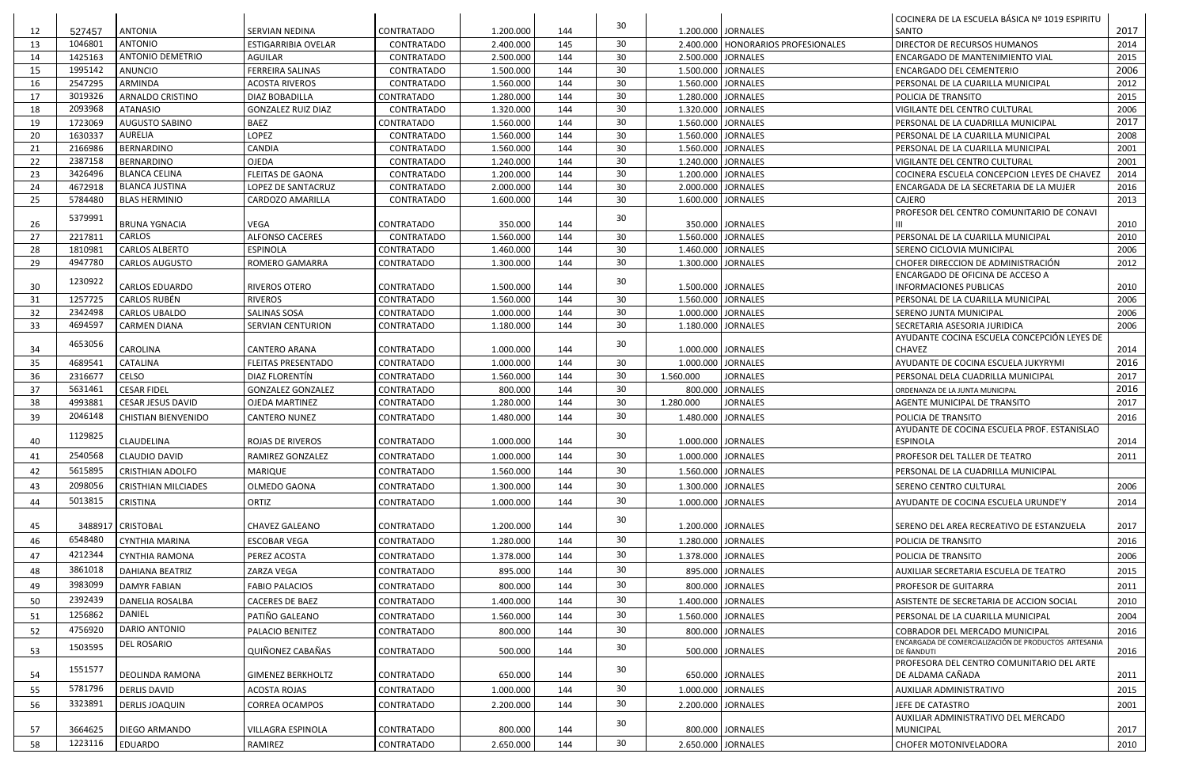|    |                    |                            |                            |                   |                      |     | 30 |                    |                                      | COCINERA DE LA ESCUELA BÁSICA Nº 1019 ESPIRITU                     |      |
|----|--------------------|----------------------------|----------------------------|-------------------|----------------------|-----|----|--------------------|--------------------------------------|--------------------------------------------------------------------|------|
| 12 | 527457             | <b>ANTONIA</b>             | SERVIAN NEDINA             | <b>CONTRATADO</b> | 1.200.000            | 144 |    | 1.200.000 JORNALES |                                      | SANTO                                                              | 2017 |
| 13 | 1046801            | <b>ANTONIO</b>             | <b>ESTIGARRIBIA OVELAR</b> | <b>CONTRATADO</b> | 2.400.000            | 145 | 30 |                    | 2.400.000   HONORARIOS PROFESIONALES | DIRECTOR DE RECURSOS HUMANOS                                       | 2014 |
| 14 | 1425163            | <b>ANTONIO DEMETRIO</b>    | <b>AGUILAR</b>             | CONTRATADO        | 2.500.000            | 144 | 30 | 2.500.000 JORNALES |                                      | ENCARGADO DE MANTENIMIENTO VIAL                                    | 2015 |
| 15 | 1995142            | <b>ANUNCIO</b>             | <b>FERREIRA SALINAS</b>    | <b>CONTRATADO</b> | 1.500.000            | 144 | 30 | 1.500.000 JORNALES |                                      | ENCARGADO DEL CEMENTERIO                                           | 2006 |
| 16 | 2547295            | ARMINDA                    | <b>ACOSTA RIVEROS</b>      | <b>CONTRATADO</b> | 1.560.000            | 144 | 30 | 1.560.000 JORNALES |                                      | PERSONAL DE LA CUARILLA MUNICIPAL                                  | 2012 |
| 17 | 3019326            | <b>ARNALDO CRISTINO</b>    | DIAZ BOBADILLA             | CONTRATADO        | 1.280.000            | 144 | 30 | 1.280.000 JORNALES |                                      | POLICIA DE TRANSITO                                                | 2015 |
| 18 | 2093968            | <b>ATANASIO</b>            | <b>GONZALEZ RUIZ DIAZ</b>  | <b>CONTRATADO</b> | 1.320.000            | 144 | 30 | 1.320.000 JORNALES |                                      | VIGILANTE DEL CENTRO CULTURAL                                      | 2006 |
| 19 | 1723069            | <b>AUGUSTO SABINO</b>      | <b>BAEZ</b>                | CONTRATADO        | 1.560.000            | 144 | 30 | 1.560.000 JORNALES |                                      | PERSONAL DE LA CUADRILLA MUNICIPAL                                 | 2017 |
| 20 | 1630337            | <b>AURELIA</b>             | LOPEZ                      | <b>CONTRATADO</b> | 1.560.000            | 144 | 30 | 1.560.000 JORNALES |                                      | PERSONAL DE LA CUARILLA MUNICIPAL                                  | 2008 |
| 21 | 2166986            | <b>BERNARDINO</b>          | CANDIA                     | CONTRATADO        | 1.560.000            | 144 | 30 | 1.560.000 JORNALES |                                      | PERSONAL DE LA CUARILLA MUNICIPAL                                  | 2001 |
| 22 | 2387158            | <b>BERNARDINO</b>          | <b>OJEDA</b>               | <b>CONTRATADO</b> | 1.240.000            | 144 | 30 | 1.240.000 JORNALES |                                      | VIGILANTE DEL CENTRO CULTURAL                                      | 2001 |
| 23 | 3426496            | <b>BLANCA CELINA</b>       | <b>FLEITAS DE GAONA</b>    | <b>CONTRATADO</b> | 1.200.000            | 144 | 30 | 1.200.000 JORNALES |                                      | COCINERA ESCUELA CONCEPCION LEYES DE CHAVEZ                        | 2014 |
| 24 | 4672918            | <b>BLANCA JUSTINA</b>      | LOPEZ DE SANTACRUZ         | CONTRATADO        | 2.000.000            | 144 | 30 | 2.000.000 JORNALES |                                      | ENCARGADA DE LA SECRETARIA DE LA MUJER                             | 2016 |
| 25 | 5784480            | <b>BLAS HERMINIO</b>       | <b>CARDOZO AMARILLA</b>    | CONTRATADO        | 1.600.000            | 144 | 30 | 1.600.000 JORNALES |                                      | CAJERO                                                             | 2013 |
| 26 | 5379991            | <b>BRUNA YGNACIA</b>       | VEGA                       | <b>CONTRATADO</b> | 350.000              | 144 | 30 |                    | 350.000 JORNALES                     | PROFESOR DEL CENTRO COMUNITARIO DE CONAVI                          | 2010 |
| 27 | 2217811            | <b>CARLOS</b>              | <b>ALFONSO CACERES</b>     | <b>CONTRATADO</b> | 1.560.000            | 144 | 30 | 1.560.000 JORNALES |                                      | PERSONAL DE LA CUARILLA MUNICIPAL                                  | 2010 |
| 28 | 1810981            | <b>CARLOS ALBERTO</b>      | <b>ESPINOLA</b>            | CONTRATADO        | 1.460.000            | 144 | 30 | 1.460.000 JORNALES |                                      | SERENO CICLOVIA MUNICIPAL                                          | 2006 |
| 29 | 4947780            | <b>CARLOS AUGUSTO</b>      | ROMERO GAMARRA             | <b>CONTRATADO</b> | 1.300.000            | 144 | 30 | 1.300.000 JORNALES |                                      | CHOFER DIRECCION DE ADMINISTRACIÓN                                 | 2012 |
| 30 | 1230922            | <b>CARLOS EDUARDO</b>      | RIVEROS OTERO              | <b>CONTRATADO</b> | 1.500.000            | 144 | 30 | 1.500.000 JORNALES |                                      | ENCARGADO DE OFICINA DE ACCESO A<br><b>INFORMACIONES PUBLICAS</b>  | 2010 |
| 31 | 1257725            | <b>CARLOS RUBÉN</b>        | <b>RIVEROS</b>             | <b>CONTRATADO</b> | 1.560.000            | 144 | 30 | 1.560.000 JORNALES |                                      | PERSONAL DE LA CUARILLA MUNICIPAL                                  | 2006 |
| 32 | 2342498            | <b>CARLOS UBALDO</b>       | SALINAS SOSA               | CONTRATADO        | 1.000.000            | 144 | 30 | 1.000.000 JORNALES |                                      | SERENO JUNTA MUNICIPAL                                             | 2006 |
| 33 | 4694597            | <b>CARMEN DIANA</b>        | SERVIAN CENTURION          | <b>CONTRATADO</b> | 1.180.000            | 144 | 30 | 1.180.000 JORNALES |                                      | SECRETARIA ASESORIA JURIDICA                                       | 2006 |
| 34 | 4653056            | CAROLINA                   | <b>CANTERO ARANA</b>       | <b>CONTRATADO</b> | 1.000.000            | 144 | 30 | 1.000.000 JORNALES |                                      | AYUDANTE COCINA ESCUELA CONCEPCIÓN LEYES DE<br><b>CHAVEZ</b>       | 2014 |
| 35 | 4689541            | <b>CATALINA</b>            | <b>FLEITAS PRESENTADO</b>  | <b>CONTRATADO</b> | 1.000.000            | 144 | 30 |                    | 1.000.000 JORNALES                   | AYUDANTE DE COCINA ESCUELA JUKYRYMI                                | 2016 |
| 36 | 2316677            | CELSO                      | DIAZ FLORENTÍN             | <b>CONTRATADO</b> | 1.560.000            | 144 | 30 | 1.560.000          | <b>JORNALES</b>                      | PERSONAL DELA CUADRILLA MUNICIPAL                                  | 2017 |
| 37 | 5631461            | <b>CESAR FIDEL</b>         | <b>GONZALEZ GONZALEZ</b>   | <b>CONTRATADO</b> | 800.000              | 144 | 30 |                    | 800.000 JORNALES                     | ORDENANZA DE LA JUNTA MUNICIPAL                                    | 2016 |
| 38 | 4993881            | <b>CESAR JESUS DAVID</b>   | <b>OJEDA MARTINEZ</b>      | CONTRATADO        | 1.280.000            | 144 | 30 | 1.280.000          | <b>JORNALES</b>                      | AGENTE MUNICIPAL DE TRANSITO                                       | 2017 |
| 39 | 2046148            | <b>CHISTIAN BIENVENIDO</b> | <b>CANTERO NUNEZ</b>       | <b>CONTRATADO</b> | 1.480.000            | 144 | 30 | 1.480.000 JORNALES |                                      | POLICIA DE TRANSITO                                                | 2016 |
|    |                    |                            |                            |                   |                      |     |    |                    |                                      | AYUDANTE DE COCINA ESCUELA PROF. ESTANISLAO                        |      |
| 40 | 1129825            | <b>CLAUDELINA</b>          | <b>ROJAS DE RIVEROS</b>    | <b>CONTRATADO</b> | 1.000.000            | 144 | 30 | 1.000.000 JORNALES |                                      | <b>ESPINOLA</b>                                                    | 2014 |
| 41 | 2540568            | <b>CLAUDIO DAVID</b>       | RAMIREZ GONZALEZ           | CONTRATADO        | 1.000.000            | 144 | 30 | 1.000.000 JORNALES |                                      | PROFESOR DEL TALLER DE TEATRO                                      | 2011 |
| 42 | 5615895            | <b>CRISTHIAN ADOLFO</b>    | <b>MARIQUE</b>             | <b>CONTRATADO</b> | 1.560.000            | 144 | 30 | 1.560.000 JORNALES |                                      | PERSONAL DE LA CUADRILLA MUNICIPAL                                 |      |
| 43 | 2098056            | <b>CRISTHIAN MILCIADES</b> | OLMEDO GAONA               | CONTRATADO        | 1.300.000            | 144 | 30 |                    | 1.300.000 JORNALES                   | SERENO CENTRO CULTURAL                                             | 2006 |
| 44 | 5013815            | <b>CRISTINA</b>            | ORTIZ                      | <b>CONTRATADO</b> | 1.000.000            | 144 | 30 |                    | 1.000.000 JORNALES                   | AYUDANTE DE COCINA ESCUELA URUNDE'Y                                | 2014 |
|    |                    |                            |                            |                   |                      |     |    |                    |                                      |                                                                    |      |
| 45 |                    | 3488917   CRISTOBAL        | <b>CHAVEZ GALEANO</b>      | CONTRATADO        | 1.200.000            | 144 | 30 | 1.200.000 JORNALES |                                      | SERENO DEL AREA RECREATIVO DE ESTANZUELA                           | 2017 |
| 46 | 6548480            | <b>CYNTHIA MARINA</b>      | <b>ESCOBAR VEGA</b>        | CONTRATADO        | 1.280.000            | 144 | 30 | 1.280.000 JORNALES |                                      | POLICIA DE TRANSITO                                                | 2016 |
| 47 | 4212344            | <b>CYNTHIA RAMONA</b>      | PEREZ ACOSTA               | CONTRATADO        | 1.378.000            | 144 | 30 |                    | 1.378.000 JORNALES                   | POLICIA DE TRANSITO                                                | 2006 |
| 48 | 3861018            | <b>DAHIANA BEATRIZ</b>     | ZARZA VEGA                 | <b>CONTRATADO</b> | 895.000              | 144 | 30 |                    | 895.000 JORNALES                     | AUXILIAR SECRETARIA ESCUELA DE TEATRO                              | 2015 |
|    | 3983099            |                            |                            |                   |                      |     | 30 |                    |                                      |                                                                    |      |
| 49 |                    | <b>DAMYR FABIAN</b>        | <b>FABIO PALACIOS</b>      | CONTRATADO        | 800.000              | 144 |    |                    | 800.000 JORNALES                     | PROFESOR DE GUITARRA                                               | 2011 |
| 50 | 2392439            | <b>DANELIA ROSALBA</b>     | CACERES DE BAEZ            | CONTRATADO        | 1.400.000            | 144 | 30 | 1.400.000 JORNALES |                                      | ASISTENTE DE SECRETARIA DE ACCION SOCIAL                           | 2010 |
| 51 | 1256862            | DANIEL                     | PATIÑO GALEANO             | <b>CONTRATADO</b> | 1.560.000            | 144 | 30 | 1.560.000 JORNALES |                                      | PERSONAL DE LA CUARILLA MUNICIPAL                                  | 2004 |
| 52 | 4756920            | DARIO ANTONIO              | PALACIO BENITEZ            | <b>CONTRATADO</b> | 800.000              | 144 | 30 |                    | 800.000 JORNALES                     | COBRADOR DEL MERCADO MUNICIPAL                                     | 2016 |
| 53 | 1503595            | DEL ROSARIO                | QUIÑONEZ CABAÑAS           | CONTRATADO        | 500.000              | 144 | 30 |                    | 500.000 JORNALES                     | ENCARGADA DE COMERCIALIZACIÓN DE PRODUCTOS ARTESANIA<br>DE ÑANDUTI | 2016 |
| 54 | 1551577            | DEOLINDA RAMONA            | <b>GIMENEZ BERKHOLTZ</b>   | CONTRATADO        | 650.000              | 144 | 30 |                    | 650.000 JORNALES                     | PROFESORA DEL CENTRO COMUNITARIO DEL ARTE<br>DE ALDAMA CAÑADA      | 2011 |
| 55 | 5781796            | <b>DERLIS DAVID</b>        | ACOSTA ROJAS               | CONTRATADO        | 1.000.000            | 144 | 30 |                    | 1.000.000 JORNALES                   | AUXILIAR ADMINISTRATIVO                                            | 2015 |
| 56 | 3323891            | <b>DERLIS JOAQUIN</b>      | <b>CORREA OCAMPOS</b>      | CONTRATADO        | 2.200.000            | 144 | 30 |                    | 2.200.000 JORNALES                   | JEFE DE CATASTRO                                                   | 2001 |
|    |                    |                            |                            |                   |                      |     |    |                    |                                      | AUXILIAR ADMINISTRATIVO DEL MERCADO                                |      |
| 57 |                    | <b>DIEGO ARMANDO</b>       | VILLAGRA ESPINOLA          | <b>CONTRATADO</b> |                      | 144 | 30 |                    | 800.000 JORNALES                     | <b>MUNICIPAL</b>                                                   | 2017 |
|    |                    |                            |                            |                   |                      |     |    |                    |                                      |                                                                    |      |
| 58 | 3664625<br>1223116 | EDUARDO                    | RAMIREZ                    | CONTRATADO        | 800.000<br>2.650.000 | 144 | 30 |                    | 2.650.000 JORNALES                   | CHOFER MOTONIVELADORA                                              | 2010 |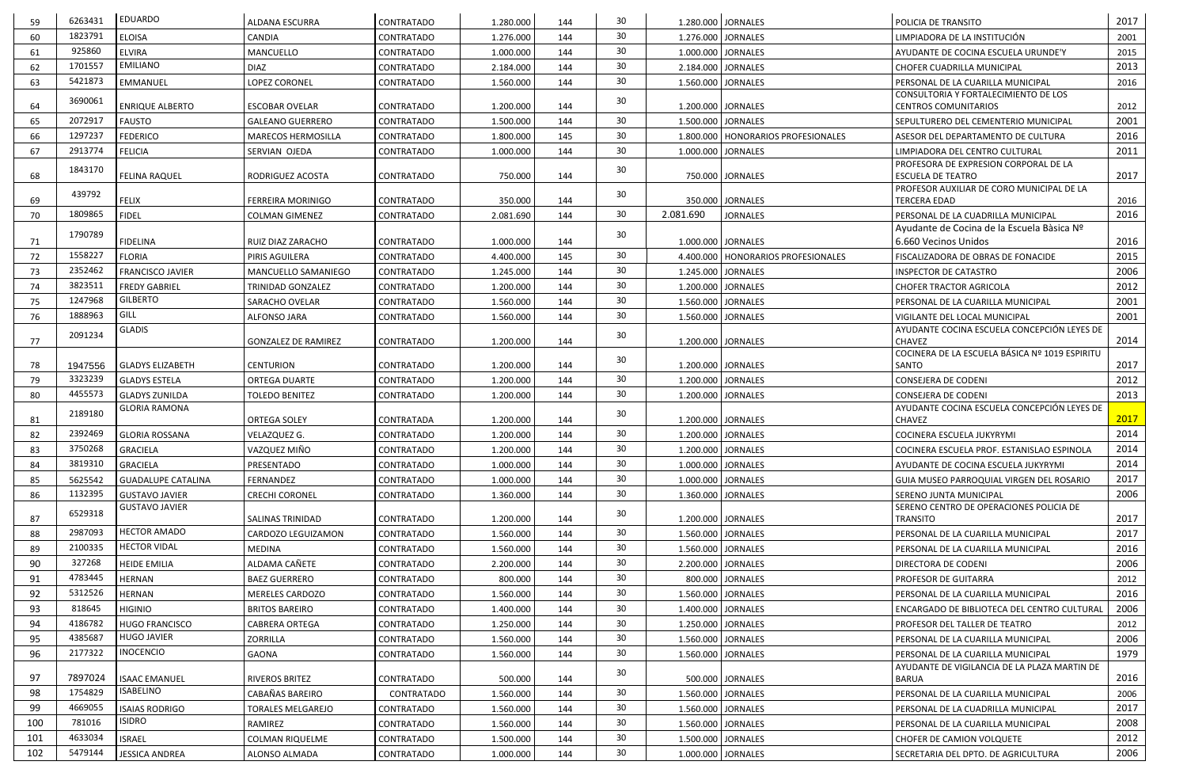| 59  | 6263431 | <b>EDUARDO</b>                                | <b>ALDANA ESCURRA</b>      | <b>CONTRATADO</b> | 1.280.000 | 144 | 30              | 1.280.000 JORNALES   |                                      | POLICIA DE TRANSITO                                                       | 2017 |
|-----|---------|-----------------------------------------------|----------------------------|-------------------|-----------|-----|-----------------|----------------------|--------------------------------------|---------------------------------------------------------------------------|------|
| 60  | 1823791 | <b>ELOISA</b>                                 | <b>CANDIA</b>              | <b>CONTRATADO</b> | 1.276.000 | 144 | 30              | 1.276.000 JORNALES   |                                      | LIMPIADORA DE LA INSTITUCIÓN                                              | 2001 |
| 61  | 925860  | <b>ELVIRA</b>                                 | MANCUELLO                  | CONTRATADO        | 1.000.000 | 144 | 30              | 1.000.000 JORNALES   |                                      | AYUDANTE DE COCINA ESCUELA URUNDE'Y                                       | 2015 |
| 62  | 1701557 | EMILIANO                                      | <b>DIAZ</b>                | <b>CONTRATADO</b> | 2.184.000 | 144 | 30              | 2.184.000 JORNALES   |                                      | CHOFER CUADRILLA MUNICIPAL                                                | 2013 |
| 63  | 5421873 | EMMANUEL                                      | LOPEZ CORONEL              | CONTRATADO        | 1.560.000 | 144 | 30              | 1.560.000 JORNALES   |                                      | PERSONAL DE LA CUARILLA MUNICIPAL                                         | 2016 |
| 64  | 3690061 | <b>ENRIQUE ALBERTO</b>                        | <b>ESCOBAR OVELAR</b>      | CONTRATADO        | 1.200.000 | 144 | 30              | 1.200.000 JORNALES   |                                      | CONSULTORIA Y FORTALECIMIENTO DE LOS<br><b>CENTROS COMUNITARIOS</b>       | 2012 |
| 65  | 2072917 | <b>FAUSTO</b>                                 | <b>GALEANO GUERRERO</b>    | <b>CONTRATADO</b> | 1.500.000 | 144 | 30              | 1.500.000 JORNALES   |                                      | SEPULTURERO DEL CEMENTERIO MUNICIPAL                                      | 2001 |
| 66  | 1297237 | <b>FEDERICO</b>                               | MARECOS HERMOSILLA         | <b>CONTRATADO</b> | 1.800.000 | 145 | 30              |                      | 1.800.000   HONORARIOS PROFESIONALES | ASESOR DEL DEPARTAMENTO DE CULTURA                                        | 2016 |
| 67  | 2913774 | <b>FELICIA</b>                                | SERVIAN OJEDA              | CONTRATADO        | 1.000.000 | 144 | 30              | 1.000.000 JORNALES   |                                      | LIMPIADORA DEL CENTRO CULTURAL                                            | 2011 |
|     | 1843170 |                                               |                            |                   |           |     | 30              |                      |                                      | PROFESORA DE EXPRESION CORPORAL DE LA                                     |      |
| 68  |         | <b>FELINA RAQUEL</b>                          | RODRIGUEZ ACOSTA           | <b>CONTRATADO</b> | 750.000   | 144 |                 |                      | 750.000 JORNALES                     | <b>ESCUELA DE TEATRO</b><br>PROFESOR AUXILIAR DE CORO MUNICIPAL DE LA     | 2017 |
| 69  | 439792  | <b>FELIX</b>                                  | FERREIRA MORINIGO          | <b>CONTRATADO</b> | 350.000   | 144 | 30              |                      | 350.000 JORNALES                     | <b>TERCERA EDAD</b>                                                       | 2016 |
| 70  | 1809865 | <b>FIDEL</b>                                  | <b>COLMAN GIMENEZ</b>      | CONTRATADO        | 2.081.690 | 144 | 30 <sup>°</sup> | 2.081.690            | <b>JORNALES</b>                      | PERSONAL DE LA CUADRILLA MUNICIPAL                                        | 2016 |
|     | 1790789 |                                               |                            |                   |           |     |                 |                      |                                      | Ayudante de Cocina de la Escuela Bàsica Nº                                |      |
| 71  |         | <b>FIDELINA</b>                               | RUIZ DIAZ ZARACHO          | <b>CONTRATADO</b> | 1.000.000 | 144 | 30              | 1.000.000 JORNALES   |                                      | 6.660 Vecinos Unidos                                                      | 2016 |
| 72  | 1558227 | <b>FLORIA</b>                                 | PIRIS AGUILERA             | CONTRATADO        | 4.400.000 | 145 | 30              |                      | 4.400.000   HONORARIOS PROFESIONALES | FISCALIZADORA DE OBRAS DE FONACIDE                                        | 2015 |
| 73  | 2352462 | <b>FRANCISCO JAVIER</b>                       | MANCUELLO SAMANIEGO        | CONTRATADO        | 1.245.000 | 144 | 30              | 1.245.000 JORNALES   |                                      | <b>INSPECTOR DE CATASTRO</b>                                              | 2006 |
| 74  | 3823511 | <b>FREDY GABRIEL</b>                          | TRINIDAD GONZALEZ          | CONTRATADO        | 1.200.000 | 144 | 30 <sup>°</sup> | 1.200.000 JORNALES   |                                      | <b>CHOFER TRACTOR AGRICOLA</b>                                            | 2012 |
| 75  | 1247968 | <b>GILBERTO</b>                               | SARACHO OVELAR             | CONTRATADO        | 1.560.000 | 144 | 30 <sup>°</sup> | 1.560.000 JORNALES   |                                      | PERSONAL DE LA CUARILLA MUNICIPAL                                         | 2001 |
| 76  | 1888963 | GILL                                          | <b>ALFONSO JARA</b>        | <b>CONTRATADO</b> | 1.560.000 | 144 | 30              |                      | 1.560.000 JORNALES                   | VIGILANTE DEL LOCAL MUNICIPAL                                             | 2001 |
| 77  | 2091234 | <b>GLADIS</b>                                 | <b>GONZALEZ DE RAMIREZ</b> | <b>CONTRATADO</b> | 1.200.000 | 144 | 30              | 1.200.000 JORNALES   |                                      | AYUDANTE COCINA ESCUELA CONCEPCIÓN LEYES DE<br><b>CHAVEZ</b>              | 2014 |
| 78  | 1947556 | <b>GLADYS ELIZABETH</b>                       | <b>CENTURION</b>           | <b>CONTRATADO</b> | 1.200.000 | 144 | 30              | 1.200.000 JORNALES   |                                      | COCINERA DE LA ESCUELA BÁSICA Nº 1019 ESPIRITU<br>SANTO                   | 2017 |
| 79  | 3323239 | <b>GLADYS ESTELA</b>                          | <b>ORTEGA DUARTE</b>       | <b>CONTRATADO</b> | 1.200.000 | 144 | 30              | 1.200.000 JORNALES   |                                      | CONSEJERA DE CODENI                                                       | 2012 |
|     |         |                                               |                            |                   |           |     |                 |                      |                                      |                                                                           |      |
|     |         |                                               |                            |                   |           |     |                 |                      |                                      |                                                                           |      |
| 80  | 4455573 | <b>GLADYS ZUNILDA</b><br><b>GLORIA RAMONA</b> | <b>TOLEDO BENITEZ</b>      | CONTRATADO        | 1.200.000 | 144 | 30              | 1.200.000 JORNALES   |                                      | <b>CONSEJERA DE CODENI</b><br>AYUDANTE COCINA ESCUELA CONCEPCIÓN LEYES DE | 2013 |
| 81  | 2189180 |                                               | <b>ORTEGA SOLEY</b>        | CONTRATADA        | 1.200.000 | 144 | 30              | 1.200.000 JORNALES   |                                      | <b>CHAVEZ</b>                                                             | 2017 |
| 82  | 2392469 | <b>GLORIA ROSSANA</b>                         | VELAZQUEZ G.               | CONTRATADO        | 1.200.000 | 144 | 30 <sup>°</sup> | 1.200.000 JORNALES   |                                      | COCINERA ESCUELA JUKYRYMI                                                 | 2014 |
| 83  | 3750268 | <b>GRACIELA</b>                               | VAZQUEZ MIÑO               | <b>CONTRATADO</b> | 1.200.000 | 144 | 30 <sup>°</sup> | 1.200.000   JORNALES |                                      | COCINERA ESCUELA PROF. ESTANISLAO ESPINOLA                                | 2014 |
| 84  | 3819310 | <b>GRACIELA</b>                               | PRESENTADO                 | CONTRATADO        | 1.000.000 | 144 | 30              | 1.000.000 JORNALES   |                                      | AYUDANTE DE COCINA ESCUELA JUKYRYMI                                       | 2014 |
| 85  | 5625542 | <b>GUADALUPE CATALINA</b>                     | FERNANDEZ                  | CONTRATADO        | 1.000.000 | 144 | 30              |                      | 1.000.000 JORNALES                   | GUIA MUSEO PARROQUIAL VIRGEN DEL ROSARIO                                  | 2017 |
| 86  | 1132395 | <b>GUSTAVO JAVIER</b>                         | <b>CRECHI CORONEL</b>      | CONTRATADO        | 1.360.000 | 144 | 30              | 1.360.000 JORNALES   |                                      | SERENO JUNTA MUNICIPAL                                                    | 2006 |
|     | 6529318 | <b>GUSTAVO JAVIER</b>                         |                            |                   |           |     | 30              |                      |                                      | SERENO CENTRO DE OPERACIONES POLICIA DE                                   |      |
| 87  |         |                                               | SALINAS TRINIDAD           | <b>CONTRATADO</b> | 1.200.000 | 144 |                 | 1.200.000 JORNALES   |                                      | <b>TRANSITO</b>                                                           | 2017 |
| 88  | 2987093 | <b>HECTOR AMADO</b>                           | CARDOZO LEGUIZAMON         | <b>CONTRATADO</b> | 1.560.000 | 144 | 30              | 1.560.000 JORNALES   |                                      | PERSONAL DE LA CUARILLA MUNICIPAL                                         | 2017 |
| 89  | 2100335 | <b>HECTOR VIDAL</b>                           | MEDINA                     | CONTRATADO        | 1.560.000 | 144 | 30              | 1.560.000 JORNALES   |                                      | PERSONAL DE LA CUARILLA MUNICIPAL                                         | 2016 |
| 90  | 327268  | <b>HEIDE EMILIA</b>                           | ALDAMA CAÑETE              | CONTRATADO        | 2.200.000 | 144 | 30              | 2.200.000 JORNALES   |                                      | DIRECTORA DE CODENI                                                       | 2006 |
| 91  | 4783445 | <b>HERNAN</b>                                 | <b>BAEZ GUERRERO</b>       | CONTRATADO        | 800.000   | 144 | 30              |                      | 800.000 JORNALES                     | PROFESOR DE GUITARRA                                                      | 2012 |
| 92  | 5312526 | <b>HERNAN</b>                                 | MERELES CARDOZO            | CONTRATADO        | 1.560.000 | 144 | 30              | 1.560.000 JORNALES   |                                      | PERSONAL DE LA CUARILLA MUNICIPAL                                         | 2016 |
| 93  | 818645  | <b>HIGINIO</b>                                | <b>BRITOS BAREIRO</b>      | CONTRATADO        | 1.400.000 | 144 | 30              | 1.400.000 JORNALES   |                                      | ENCARGADO DE BIBLIOTECA DEL CENTRO CULTURAL                               | 2006 |
| 94  | 4186782 | <b>HUGO FRANCISCO</b>                         | <b>CABRERA ORTEGA</b>      | <b>CONTRATADO</b> | 1.250.000 | 144 | 30              | 1.250.000 JORNALES   |                                      | PROFESOR DEL TALLER DE TEATRO                                             | 2012 |
| 95  | 4385687 | <b>HUGO JAVIER</b>                            | ZORRILLA                   | CONTRATADO        | 1.560.000 | 144 | 30              | 1.560.000 JORNALES   |                                      | PERSONAL DE LA CUARILLA MUNICIPAL                                         | 2006 |
| 96  | 2177322 | <b>INOCENCIO</b>                              | GAONA                      | <b>CONTRATADO</b> | 1.560.000 | 144 | 30              |                      | 1.560.000 JORNALES                   | PERSONAL DE LA CUARILLA MUNICIPAL                                         | 1979 |
| 97  | 7897024 | <b>ISAAC EMANUEL</b>                          | RIVEROS BRITEZ             | <b>CONTRATADO</b> | 500.000   | 144 | 30              |                      | 500.000 JORNALES                     | AYUDANTE DE VIGILANCIA DE LA PLAZA MARTIN DE<br><b>BARUA</b>              | 2016 |
| 98  | 1754829 | <b>ISABELINO</b>                              | CABAÑAS BAREIRO            | CONTRATADO        | 1.560.000 | 144 | 30              |                      | 1.560.000 JORNALES                   | PERSONAL DE LA CUARILLA MUNICIPAL                                         | 2006 |
| 99  | 4669055 | <b>ISAIAS RODRIGO</b>                         | <b>TORALES MELGAREJO</b>   | CONTRATADO        | 1.560.000 | 144 | 30              | 1.560.000 JORNALES   |                                      | PERSONAL DE LA CUADRILLA MUNICIPAL                                        | 2017 |
| 100 | 781016  | <b>ISIDRO</b>                                 | RAMIREZ                    | CONTRATADO        | 1.560.000 | 144 | 30              |                      | 1.560.000 JORNALES                   | PERSONAL DE LA CUARILLA MUNICIPAL                                         | 2008 |
| 101 | 4633034 | <b>ISRAEL</b>                                 | <b>COLMAN RIQUELME</b>     | <b>CONTRATADO</b> | 1.500.000 | 144 | 30              | 1.500.000 JORNALES   |                                      | <b>CHOFER DE CAMION VOLQUETE</b>                                          | 2012 |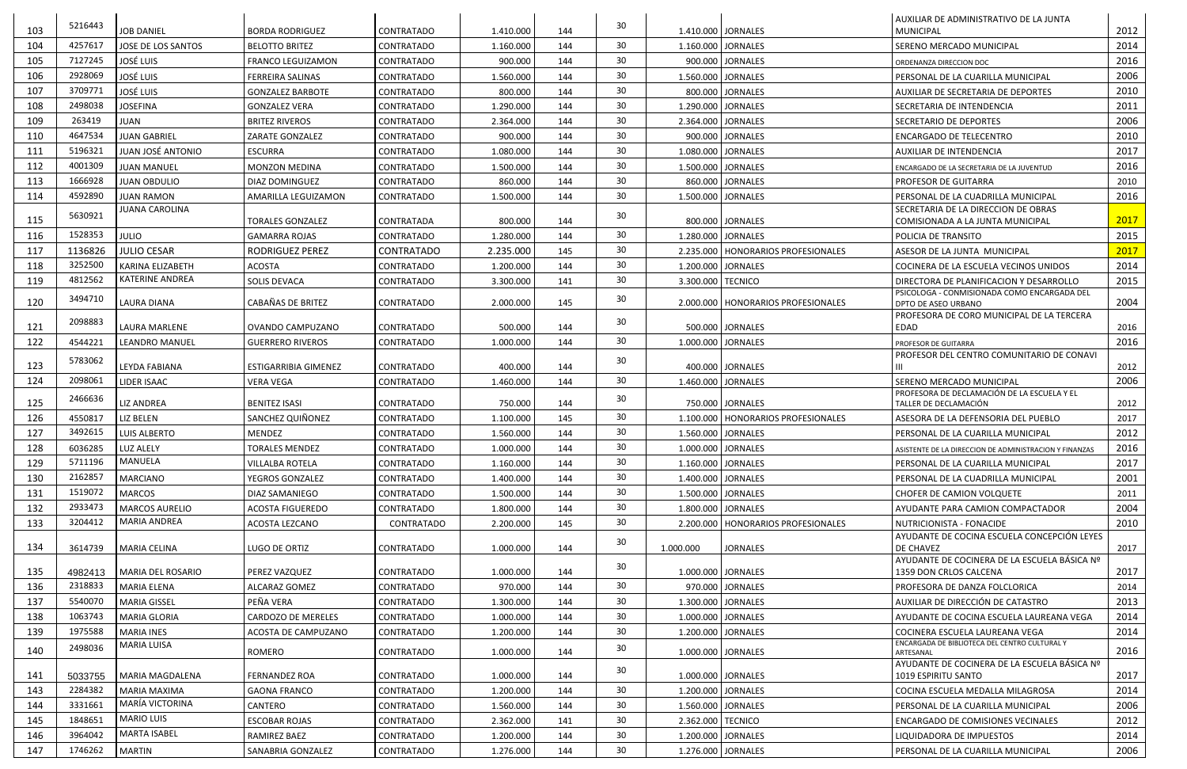|     | 5216443            |                        |                          |                   |           |            | 30              |                      |                                      | AUXILIAR DE ADMINISTRATIVO DE LA JUNTA                                  |              |
|-----|--------------------|------------------------|--------------------------|-------------------|-----------|------------|-----------------|----------------------|--------------------------------------|-------------------------------------------------------------------------|--------------|
| 103 |                    | <b>JOB DANIEL</b>      | <b>BORDA RODRIGUEZ</b>   | <b>CONTRATADO</b> | 1.410.000 | 144        |                 | 1.410.000 JORNALES   |                                      | <b>MUNICIPAL</b>                                                        | 2012         |
| 104 | 4257617            | JOSE DE LOS SANTOS     | <b>BELOTTO BRITEZ</b>    | CONTRATADO        | 1.160.000 | 144        | 30              |                      | 1.160.000   JORNALES                 | SERENO MERCADO MUNICIPAL                                                | 2014         |
| 105 | 7127245            | <b>JOSÉ LUIS</b>       | <b>FRANCO LEGUIZAMON</b> | <b>CONTRATADO</b> | 900.000   | 144        | 30              |                      | 900.000 JORNALES                     | ORDENANZA DIRECCION DOC                                                 | 2016         |
| 106 | 2928069            | <b>JOSÉ LUIS</b>       | <b>FERREIRA SALINAS</b>  | <b>CONTRATADO</b> | 1.560.000 | 144        | 30              |                      | 1.560.000 JORNALES                   | PERSONAL DE LA CUARILLA MUNICIPAL                                       | 2006         |
| 107 | 3709771            | <b>JOSÉ LUIS</b>       | <b>GONZALEZ BARBOTE</b>  | <b>CONTRATADO</b> | 800.000   | 144        | 30              |                      | 800.000 JORNALES                     | AUXILIAR DE SECRETARIA DE DEPORTES                                      | 2010         |
| 108 | 2498038            | <b>JOSEFINA</b>        | <b>GONZALEZ VERA</b>     | <b>CONTRATADO</b> | 1.290.000 | 144        | 30              |                      | 1.290.000 JORNALES                   | SECRETARIA DE INTENDENCIA                                               | 2011         |
| 109 | 263419             | <b>JUAN</b>            | <b>BRITEZ RIVEROS</b>    | <b>CONTRATADO</b> | 2.364.000 | 144        | 30              | 2.364.000   JORNALES |                                      | <b>SECRETARIO DE DEPORTES</b>                                           | 2006         |
| 110 | 4647534            | <b>JUAN GABRIEL</b>    | <b>ZARATE GONZALEZ</b>   | <b>CONTRATADO</b> | 900.000   | 144        | 30              |                      | 900.000 JORNALES                     | <b>ENCARGADO DE TELECENTRO</b>                                          | 2010         |
| 111 | 5196321            | JUAN JOSÉ ANTONIO      | <b>ESCURRA</b>           | <b>CONTRATADO</b> | 1.080.000 | 144        | 30              |                      | 1.080.000 JORNALES                   | AUXILIAR DE INTENDENCIA                                                 | 2017         |
| 112 | 4001309            | <b>JUAN MANUEL</b>     | <b>MONZON MEDINA</b>     | <b>CONTRATADO</b> | 1.500.000 | 144        | 30 <sup>°</sup> |                      | 1.500.000 JORNALES                   | ENCARGADO DE LA SECRETARIA DE LA JUVENTUD                               | 2016         |
| 113 | 1666928            | <b>JUAN OBDULIO</b>    | <b>DIAZ DOMINGUEZ</b>    | <b>CONTRATADO</b> | 860.000   | 144        | 30              |                      | 860.000 JORNALES                     | PROFESOR DE GUITARRA                                                    | 2010         |
| 114 | 4592890            | <b>JUAN RAMON</b>      | AMARILLA LEGUIZAMON      | <b>CONTRATADO</b> | 1.500.000 | 144        | 30              |                      | 1.500.000 JORNALES                   | PERSONAL DE LA CUADRILLA MUNICIPAL                                      | 2016         |
|     | 5630921            | <b>JUANA CAROLINA</b>  |                          |                   |           |            |                 |                      |                                      | SECRETARIA DE LA DIRECCION DE OBRAS                                     |              |
| 115 |                    |                        | <b>TORALES GONZALEZ</b>  | CONTRATADA        | 800.000   | 144        | 30              |                      | 800.000 JORNALES                     | COMISIONADA A LA JUNTA MUNICIPAL                                        | 2017         |
| 116 | 1528353            | <b>JULIO</b>           | <b>GAMARRA ROJAS</b>     | CONTRATADO        | 1.280.000 | 144        | 30              |                      | 1.280.000 JORNALES                   | POLICIA DE TRANSITO                                                     | 2015         |
| 117 | 1136826            | <b>JULIO CESAR</b>     | RODRIGUEZ PEREZ          | <b>CONTRATADO</b> | 2.235.000 | 145        | 30              |                      | 2.235.000   HONORARIOS PROFESIONALES | ASESOR DE LA JUNTA MUNICIPAL                                            | 2017         |
| 118 | 3252500            | KARINA ELIZABETH       | <b>ACOSTA</b>            | <b>CONTRATADO</b> | 1.200.000 | 144        | 30              |                      | 1.200.000 JORNALES                   | COCINERA DE LA ESCUELA VECINOS UNIDOS                                   | 2014         |
| 119 | 4812562            | <b>KATERINE ANDREA</b> | <b>SOLIS DEVACA</b>      | <b>CONTRATADO</b> | 3.300.000 | 141        | 30              | 3.300.000 TECNICO    |                                      | DIRECTORA DE PLANIFICACION Y DESARROLLO                                 | 2015         |
| 120 | 3494710            | <b>LAURA DIANA</b>     | CABAÑAS DE BRITEZ        | <b>CONTRATADO</b> | 2.000.000 | 145        | 30              |                      | 2.000.000   HONORARIOS PROFESIONALES | PSICOLOGA - CONMISIONADA COMO ENCARGADA DEL<br>DPTO DE ASEO URBANO      | 2004         |
| 121 | 2098883            | LAURA MARLENE          |                          |                   |           |            | 30              |                      |                                      | PROFESORA DE CORO MUNICIPAL DE LA TERCERA<br>EDAD                       |              |
| 122 | 4544221            |                        | OVANDO CAMPUZANO         | CONTRATADO        | 500.000   | 144<br>144 | 30              |                      | 500.000 JORNALES                     |                                                                         | 2016<br>2016 |
|     |                    | <b>LEANDRO MANUEL</b>  | <b>GUERRERO RIVEROS</b>  | <b>CONTRATADO</b> | 1.000.000 |            |                 |                      | 1.000.000 JORNALES                   | PROFESOR DE GUITARRA<br>PROFESOR DEL CENTRO COMUNITARIO DE CONAVI       |              |
| 123 | 5783062<br>2098061 | LEYDA FABIANA          | ESTIGARRIBIA GIMENEZ     | <b>CONTRATADO</b> | 400.000   | 144        | 30              |                      | 400.000 JORNALES                     |                                                                         | 2012         |
| 124 |                    | LIDER ISAAC            | <b>VERA VEGA</b>         | <b>CONTRATADO</b> | 1.460.000 | 144        | 30              | 1.460.000 JORNALES   |                                      | SERENO MERCADO MUNICIPAL<br>PROFESORA DE DECLAMACIÓN DE LA ESCUELA Y EL | 2006         |
| 125 | 2466636            | <b>LIZ ANDREA</b>      | <b>BENITEZ ISASI</b>     | <b>CONTRATADO</b> | 750.000   | 144        | 30              |                      | 750.000 JORNALES                     | TALLER DE DECLAMACIÓN                                                   | 2012         |
| 126 | 4550817            | <b>LIZ BELEN</b>       | SANCHEZ QUIÑONEZ         | <b>CONTRATADO</b> | 1.100.000 | 145        | 30              |                      | 1.100.000   HONORARIOS PROFESIONALES | ASESORA DE LA DEFENSORIA DEL PUEBLO                                     | 2017         |
| 127 | 3492615            | <b>LUIS ALBERTO</b>    | MENDEZ                   | <b>CONTRATADO</b> | 1.560.000 | 144        | 30              |                      | 1.560.000 JORNALES                   | PERSONAL DE LA CUARILLA MUNICIPAL                                       | 2012         |
| 128 | 6036285            | LUZ ALELY              | <b>TORALES MENDEZ</b>    | CONTRATADO        | 1.000.000 | 144        | 30 <sup>°</sup> | 1.000.000   JORNALES |                                      | ASISTENTE DE LA DIRECCION DE ADMINISTRACION Y FINANZAS                  | 2016         |
| 129 | 5711196            | MANUELA                | <b>VILLALBA ROTELA</b>   | CONTRATADO        | 1.160.000 | 144        | 30              |                      | 1.160.000 JORNALES                   | PERSONAL DE LA CUARILLA MUNICIPAL                                       | 2017         |
| 130 | 2162857            | <b>MARCIANO</b>        | YEGROS GONZALEZ          | CONTRATADO        | 1.400.000 | 144        | 30              |                      | 1.400.000 JORNALES                   | PERSONAL DE LA CUADRILLA MUNICIPAL                                      | 2001         |
| 131 | 1519072            | <b>MARCOS</b>          | <b>DIAZ SAMANIEGO</b>    | <b>CONTRATADO</b> | 1.500.000 | 144        | 30 <sup>°</sup> |                      | 1.500.000 JORNALES                   | CHOFER DE CAMION VOLQUETE                                               | 2011         |
| 132 | 2933473            | <b>MARCOS AURELIO</b>  | <b>ACOSTA FIGUEREDO</b>  | CONTRATADO        | 1.800.000 | 144        | 30              |                      | 1.800.000 JORNALES                   | AYUDANTE PARA CAMION COMPACTADOR                                        | 2004         |
| 133 | 3204412            | <b>MARIA ANDREA</b>    | ACOSTA LEZCANO           | CONTRATADO        | 2.200.000 | 145        | 30              |                      | 2.200.000   HONORARIOS PROFESIONALES | NUTRICIONISTA - FONACIDE                                                | 2010         |
|     |                    |                        |                          |                   |           |            | 30              |                      |                                      | AYUDANTE DE COCINA ESCUELA CONCEPCIÓN LEYES                             |              |
| 134 | 3614739            | <b>MARIA CELINA</b>    | LUGO DE ORTIZ            | CONTRATADO        | 1.000.000 | 144        |                 | 1.000.000            | <b>JORNALES</b>                      | DE CHAVEZ                                                               | 2017         |
| 135 | 4982413            | MARIA DEL ROSARIO      | <b>PEREZ VAZQUEZ</b>     | <b>CONTRATADO</b> | 1.000.000 | 144        | 30              |                      | 1.000.000   JORNALES                 | AYUDANTE DE COCINERA DE LA ESCUELA BÁSICA Nº<br>1359 DON CRLOS CALCENA  | 2017         |
| 136 | 2318833            | <b>MARIA ELENA</b>     | ALCARAZ GOMEZ            | <b>CONTRATADO</b> | 970.000   | 144        | 30              |                      | 970.000 JORNALES                     | PROFESORA DE DANZA FOLCLORICA                                           | 2014         |
| 137 | 5540070            | <b>MARIA GISSEL</b>    | PEÑA VERA                | CONTRATADO        | 1.300.000 | 144        | 30              |                      | 1.300.000 JORNALES                   | AUXILIAR DE DIRECCIÓN DE CATASTRO                                       | 2013         |
| 138 | 1063743            | <b>MARIA GLORIA</b>    | CARDOZO DE MERELES       | <b>CONTRATADO</b> | 1.000.000 | 144        | 30              |                      | 1.000.000 JORNALES                   | AYUDANTE DE COCINA ESCUELA LAUREANA VEGA                                | 2014         |
| 139 | 1975588            | <b>MARIA INES</b>      | ACOSTA DE CAMPUZANO      | CONTRATADO        | 1.200.000 | 144        | 30              |                      | 1.200.000 JORNALES                   | COCINERA ESCUELA LAUREANA VEGA                                          | 2014         |
| 140 | 2498036            | <b>MARIA LUISA</b>     | ROMERO                   | <b>CONTRATADO</b> | 1.000.000 | 144        | 30              |                      | 1.000.000 JORNALES                   | ENCARGADA DE BIBLIOTECA DEL CENTRO CULTURAL Y<br>ARTESANAL              | 2016         |
| 141 | 5033755            | MARIA MAGDALENA        | <b>FERNANDEZ ROA</b>     | <b>CONTRATADO</b> | 1.000.000 | 144        | 30              |                      | 1.000.000 JORNALES                   | AYUDANTE DE COCINERA DE LA ESCUELA BÁSICA Nº<br>1019 ESPIRITU SANTO     | 2017         |
| 143 | 2284382            | MARIA MAXIMA           | <b>GAONA FRANCO</b>      | <b>CONTRATADO</b> | 1.200.000 | 144        | 30              |                      | 1.200.000 JORNALES                   | COCINA ESCUELA MEDALLA MILAGROSA                                        | 2014         |
| 144 | 3331661            | MARÍA VICTORINA        | CANTERO                  | CONTRATADO        | 1.560.000 | 144        | 30              |                      | 1.560.000 JORNALES                   | PERSONAL DE LA CUARILLA MUNICIPAL                                       | 2006         |
| 145 | 1848651            | <b>MARIO LUIS</b>      | <b>ESCOBAR ROJAS</b>     | <b>CONTRATADO</b> | 2.362.000 | 141        | 30              | 2.362.000 TECNICO    |                                      | <b>ENCARGADO DE COMISIONES VECINALES</b>                                | 2012         |
| 146 | 3964042            | <b>MARTA ISABEL</b>    | RAMIREZ BAEZ             | CONTRATADO        | 1.200.000 | 144        | 30              |                      | 1.200.000 JORNALES                   | LIQUIDADORA DE IMPUESTOS                                                | 2014         |
| 147 | 1746262            | <b>MARTIN</b>          | SANABRIA GONZALEZ        | CONTRATADO        | 1.276.000 | 144        | 30              |                      | 1.276.000 JORNALES                   | PERSONAL DE LA CUARILLA MUNICIPAL                                       | 2006         |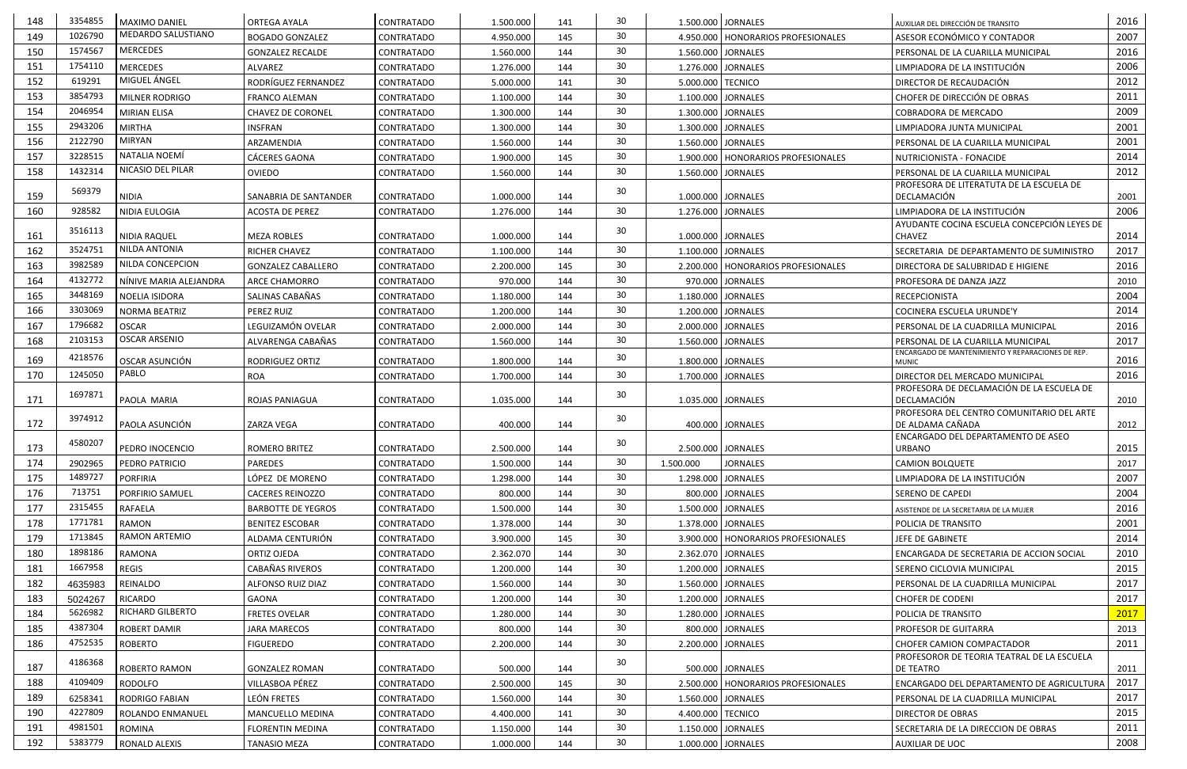| 148 | 3354855 | MAXIMO DANIEL          | <b>ORTEGA AYALA</b>                               | <b>CONTRATADO</b>               | 1.500.000            | 141        | 30              | 1.500.000 JORNALES |                                      | AUXILIAR DEL DIRECCIÓN DE TRANSITO                           | 2016 |
|-----|---------|------------------------|---------------------------------------------------|---------------------------------|----------------------|------------|-----------------|--------------------|--------------------------------------|--------------------------------------------------------------|------|
| 149 | 1026790 | MEDARDO SALUSTIANO     | <b>BOGADO GONZALEZ</b>                            | <b>CONTRATADO</b>               | 4.950.000            | 145        | 30              |                    | 4.950.000   HONORARIOS PROFESIONALES | ASESOR ECONÓMICO Y CONTADOR                                  | 2007 |
| 150 | 1574567 | <b>MERCEDES</b>        | <b>GONZALEZ RECALDE</b>                           | <b>CONTRATADO</b>               | 1.560.000            | 144        | 30              | 1.560.000 JORNALES |                                      | PERSONAL DE LA CUARILLA MUNICIPAL                            | 2016 |
| 151 | 1754110 | <b>MERCEDES</b>        | <b>ALVAREZ</b>                                    | <b>CONTRATADO</b>               | 1.276.000            | 144        | 30              | 1.276.000 JORNALES |                                      | LIMPIADORA DE LA INSTITUCIÓN                                 | 2006 |
| 152 | 619291  | MIGUEL ÁNGEL           | RODRÍGUEZ FERNANDEZ                               | <b>CONTRATADO</b>               | 5.000.000            | 141        | 30              | 5.000.000 TECNICO  |                                      | DIRECTOR DE RECAUDACIÓN                                      | 2012 |
| 153 | 3854793 | MILNER RODRIGO         | <b>FRANCO ALEMAN</b>                              | <b>CONTRATADO</b>               | 1.100.000            | 144        | 30              | 1.100.000 JORNALES |                                      | CHOFER DE DIRECCIÓN DE OBRAS                                 | 2011 |
| 154 | 2046954 | <b>MIRIAN ELISA</b>    | <b>CHAVEZ DE CORONEL</b>                          | <b>CONTRATADO</b>               | 1.300.000            | 144        | 30              | 1.300.000 JORNALES |                                      | <b>COBRADORA DE MERCADO</b>                                  | 2009 |
| 155 | 2943206 | <b>MIRTHA</b>          | <b>INSFRAN</b>                                    | CONTRATADO                      | 1.300.000            | 144        | 30              | 1.300.000 JORNALES |                                      | LIMPIADORA JUNTA MUNICIPAL                                   | 2001 |
| 156 | 2122790 | <b>MIRYAN</b>          | ARZAMENDIA                                        | <b>CONTRATADO</b>               | 1.560.000            | 144        | 30              | 1.560.000 JORNALES |                                      | PERSONAL DE LA CUARILLA MUNICIPAL                            | 2001 |
| 157 | 3228515 | NATALIA NOEMÍ          | <b>CÁCERES GAONA</b>                              | <b>CONTRATADO</b>               | 1.900.000            | 145        | 30              |                    | 1.900.000   HONORARIOS PROFESIONALES | NUTRICIONISTA - FONACIDE                                     | 2014 |
| 158 | 1432314 | NICASIO DEL PILAR      | <b>OVIEDO</b>                                     | <b>CONTRATADO</b>               | 1.560.000            | 144        | 30              | 1.560.000 JORNALES |                                      | PERSONAL DE LA CUARILLA MUNICIPAL                            | 2012 |
| 159 | 569379  | <b>NIDIA</b>           | SANABRIA DE SANTANDER                             | <b>CONTRATADO</b>               | 1.000.000            | 144        | 30              | 1.000.000 JORNALES |                                      | PROFESORA DE LITERATUTA DE LA ESCUELA DE<br>DECLAMACIÓN      | 2001 |
| 160 | 928582  | NIDIA EULOGIA          | <b>ACOSTA DE PEREZ</b>                            | CONTRATADO                      | 1.276.000            | 144        | 30              | 1.276.000 JORNALES |                                      | LIMPIADORA DE LA INSTITUCIÓN                                 | 2006 |
| 161 | 3516113 | <b>NIDIA RAQUEL</b>    |                                                   |                                 |                      |            | 30              | 1.000.000 JORNALES |                                      | AYUDANTE COCINA ESCUELA CONCEPCIÓN LEYES DE<br><b>CHAVEZ</b> | 2014 |
| 162 | 3524751 | NILDA ANTONIA          | <b>MEZA ROBLES</b>                                | <b>CONTRATADO</b>               | 1.000.000            | 144        | 30              |                    |                                      |                                                              | 2017 |
| 163 | 3982589 | NILDA CONCEPCION       | <b>RICHER CHAVEZ</b><br><b>GONZALEZ CABALLERO</b> | <b>CONTRATADO</b>               | 1.100.000            | 144<br>145 | 30              | 1.100.000 JORNALES | 2.200.000   HONORARIOS PROFESIONALES | SECRETARIA DE DEPARTAMENTO DE SUMINISTRO                     | 2016 |
| 164 | 4132772 | NÍNIVE MARIA ALEJANDRA | <b>ARCE CHAMORRO</b>                              | <b>CONTRATADO</b><br>CONTRATADO | 2.200.000<br>970.000 | 144        | 30              |                    | 970.000 JORNALES                     | DIRECTORA DE SALUBRIDAD E HIGIENE<br>PROFESORA DE DANZA JAZZ | 2010 |
| 165 | 3448169 | NOELIA ISIDORA         | SALINAS CABAÑAS                                   | CONTRATADO                      | 1.180.000            | 144        | 30              | 1.180.000 JORNALES |                                      | <b>RECEPCIONISTA</b>                                         | 2004 |
| 166 | 3303069 | NORMA BEATRIZ          | PEREZ RUIZ                                        | <b>CONTRATADO</b>               | 1.200.000            | 144        | 30              | 1.200.000 JORNALES |                                      | COCINERA ESCUELA URUNDE'Y                                    | 2014 |
| 167 | 1796682 | <b>OSCAR</b>           | LEGUIZAMÓN OVELAR                                 | <b>CONTRATADO</b>               | 2.000.000            | 144        | 30              | 2.000.000 JORNALES |                                      | PERSONAL DE LA CUADRILLA MUNICIPAL                           | 2016 |
| 168 | 2103153 | <b>OSCAR ARSENIO</b>   | ALVARENGA CABAÑAS                                 | <b>CONTRATADO</b>               | 1.560.000            | 144        | 30              | 1.560.000 JORNALES |                                      | PERSONAL DE LA CUARILLA MUNICIPAL                            | 2017 |
|     |         |                        |                                                   |                                 |                      |            |                 |                    |                                      | ENCARGADO DE MANTENIMIENTO Y REPARACIONES DE REP.            |      |
| 169 | 4218576 | OSCAR ASUNCIÓN         | <b>RODRIGUEZ ORTIZ</b>                            | <b>CONTRATADO</b>               | 1.800.000            | 144        | 30              | 1.800.000 JORNALES |                                      | <b>MUNIC</b>                                                 | 2016 |
| 170 | 1245050 | PABLO                  | ROA                                               | <b>CONTRATADO</b>               | 1.700.000            | 144        | 30 <sup>°</sup> | 1.700.000 JORNALES |                                      | DIRECTOR DEL MERCADO MUNICIPAL                               | 2016 |
| 171 | 1697871 | PAOLA MARIA            | <b>ROJAS PANIAGUA</b>                             | <b>CONTRATADO</b>               | 1.035.000            | 144        | 30              | 1.035.000 JORNALES |                                      | PROFESORA DE DECLAMACIÓN DE LA ESCUELA DE<br>DECLAMACIÓN     | 2010 |
|     | 3974912 |                        |                                                   |                                 |                      |            | 30              |                    |                                      | PROFESORA DEL CENTRO COMUNITARIO DEL ARTE                    |      |
| 172 |         | PAOLA ASUNCIÓN         | ZARZA VEGA                                        | <b>CONTRATADO</b>               | 400.000              | 144        |                 |                    | 400.000 JORNALES                     | DE ALDAMA CAÑADA                                             | 2012 |
| 173 | 4580207 | PEDRO INOCENCIO        | <b>ROMERO BRITEZ</b>                              | CONTRATADO                      | 2.500.000            | 144        | 30              | 2.500.000 JORNALES |                                      | ENCARGADO DEL DEPARTAMENTO DE ASEO<br><b>URBANO</b>          | 2015 |
| 174 | 2902965 | PEDRO PATRICIO         | <b>PAREDES</b>                                    | <b>CONTRATADO</b>               | 1.500.000            | 144        | 30              | 1.500.000          | <b>JORNALES</b>                      | <b>CAMION BOLQUETE</b>                                       | 2017 |
| 175 | 1489727 | PORFIRIA               | LÓPEZ DE MORENO                                   | <b>CONTRATADO</b>               | 1.298.000            | 144        | 30              | 1.298.000 JORNALES |                                      | LIMPIADORA DE LA INSTITUCIÓN                                 | 2007 |
| 176 | 713751  | PORFIRIO SAMUEL        | <b>CACERES REINOZZO</b>                           | <b>CONTRATADO</b>               | 800.000              | 144        | 30              |                    | 800.000 JORNALES                     | SERENO DE CAPEDI                                             | 2004 |
| 177 | 2315455 | RAFAELA                | <b>BARBOTTE DE YEGROS</b>                         | <b>CONTRATADO</b>               | 1.500.000            | 144        | 30              |                    | 1.500.000 JORNALES                   | ASISTENDE DE LA SECRETARIA DE LA MUJER                       | 2016 |
| 178 | 1771781 | RAMON                  | <b>BENITEZ ESCOBAR</b>                            | CONTRATADO                      | 1.378.000            | 144        | 30              | 1.378.000 JORNALES |                                      | POLICIA DE TRANSITO                                          | 2001 |
| 179 | 1713845 | <b>RAMON ARTEMIO</b>   | ALDAMA CENTURIÓN                                  | CONTRATADO                      | 3.900.000            | 145        | 30              |                    | 3.900.000   HONORARIOS PROFESIONALES | JEFE DE GABINETE                                             | 2014 |
| 180 | 1898186 | RAMONA                 | ORTIZ OJEDA                                       | <b>CONTRATADO</b>               | 2.362.070            | 144        | 30              | 2.362.070 JORNALES |                                      | ENCARGADA DE SECRETARIA DE ACCION SOCIAL                     | 2010 |
| 181 | 1667958 | <b>REGIS</b>           | <b>CABAÑAS RIVEROS</b>                            | CONTRATADO                      | 1.200.000            | 144        | 30              | 1.200.000 JORNALES |                                      | SERENO CICLOVIA MUNICIPAL                                    | 2015 |
| 182 | 4635983 | REINALDO               | ALFONSO RUIZ DIAZ                                 | CONTRATADO                      | 1.560.000            | 144        | 30              |                    | 1.560.000 JORNALES                   | PERSONAL DE LA CUADRILLA MUNICIPAL                           | 2017 |
| 183 | 5024267 | RICARDO                | GAONA                                             | CONTRATADO                      | 1.200.000            | 144        | 30              | 1.200.000 JORNALES |                                      | <b>CHOFER DE CODENI</b>                                      | 2017 |
| 184 | 5626982 | RICHARD GILBERTO       | <b>FRETES OVELAR</b>                              | <b>CONTRATADO</b>               | 1.280.000            | 144        | 30              | 1.280.000 JORNALES |                                      | POLICIA DE TRANSITO                                          | 2017 |
| 185 | 4387304 | <b>ROBERT DAMIR</b>    | <b>JARA MARECOS</b>                               | CONTRATADO                      | 800.000              | 144        | 30              |                    | 800.000 JORNALES                     | PROFESOR DE GUITARRA                                         | 2013 |
| 186 | 4752535 | <b>ROBERTO</b>         | <b>FIGUEREDO</b>                                  | CONTRATADO                      | 2.200.000            | 144        | 30              |                    | 2.200.000 JORNALES                   | <b>CHOFER CAMION COMPACTADOR</b>                             | 2011 |
|     | 4186368 |                        |                                                   |                                 |                      |            | 30              |                    |                                      | PROFESOROR DE TEORIA TEATRAL DE LA ESCUELA                   |      |
| 187 |         | <b>ROBERTO RAMON</b>   | <b>GONZALEZ ROMAN</b>                             | CONTRATADO                      | 500.000              | 144        |                 |                    | 500.000 JORNALES                     | DE TEATRO                                                    | 2011 |
| 188 | 4109409 | <b>RODOLFO</b>         | VILLASBOA PÉREZ                                   | CONTRATADO                      | 2.500.000            | 145        | 30              |                    | 2.500.000   HONORARIOS PROFESIONALES | ENCARGADO DEL DEPARTAMENTO DE AGRICULTURA                    | 2017 |
| 189 | 6258341 | <b>RODRIGO FABIAN</b>  | LEÓN FRETES                                       | <b>CONTRATADO</b>               | 1.560.000            | 144        | 30              | 1.560.000 JORNALES |                                      | PERSONAL DE LA CUADRILLA MUNICIPAL                           | 2017 |
| 190 | 4227809 | ROLANDO ENMANUEL       | <b>MANCUELLO MEDINA</b>                           | CONTRATADO                      | 4.400.000            | 141        | 30              | 4.400.000 TECNICO  |                                      | DIRECTOR DE OBRAS                                            | 2015 |
| 191 | 4981501 | <b>ROMINA</b>          | <b>FLORENTIN MEDINA</b>                           | CONTRATADO                      | 1.150.000            | 144        | 30              | 1.150.000 JORNALES |                                      | SECRETARIA DE LA DIRECCION DE OBRAS                          | 2011 |
| 192 | 5383779 | <b>RONALD ALEXIS</b>   | TANASIO MEZA                                      | CONTRATADO                      | 1.000.000            | 144        | 30              |                    | 1.000.000 JORNALES                   | AUXILIAR DE UOC                                              | 2008 |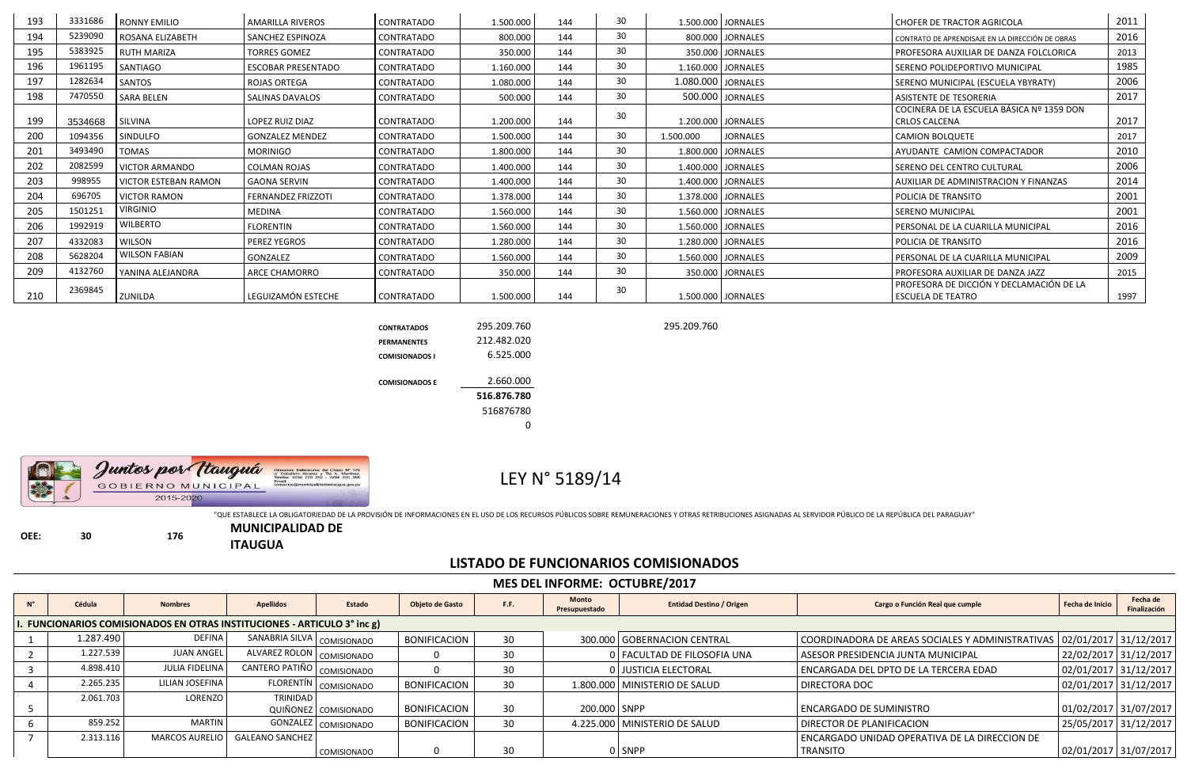| 193 | 3331686 | <b>RONNY EMILIO</b>         | <b>AMARILLA RIVEROS</b>   | <b>CONTRATADO</b> | 1.500.000 | 144 | 30 |           | 1.500.000 JORNALES   | l CHOFER DE TRACTOR AGRICOLA                                         | 2011 |
|-----|---------|-----------------------------|---------------------------|-------------------|-----------|-----|----|-----------|----------------------|----------------------------------------------------------------------|------|
| 194 | 5239090 | ROSANA ELIZABETH            | l SANCHEZ ESPINOZA        | CONTRATADO        | 800.000   | 144 | 30 |           | 800.000 JORNALES     | CONTRATO DE APRENDISAJE EN LA DIRECCIÓN DE OBRAS                     | 2016 |
| 195 | 5383925 | <b>RUTH MARIZA</b>          | <b>TORRES GOMEZ</b>       | CONTRATADO        | 350.000   | 144 | 30 |           | 350.000 JORNALES     | PROFESORA AUXILIAR DE DANZA FOLCLORICA                               | 2013 |
| 196 | 1961195 | SANTIAGO                    | <b>ESCOBAR PRESENTADO</b> | CONTRATADO        | 1.160.000 | 144 | 30 |           | 1.160.000 JORNALES   | SERENO POLIDEPORTIVO MUNICIPAL                                       | 1985 |
| 197 | 1282634 | SANTOS                      | l ROJAS ORTEGA            | <b>CONTRATADO</b> | 1.080.000 | 144 | 30 |           | 1.080.000 JORNALES   | SERENO MUNICIPAL (ESCUELA YBYRATY)                                   | 2006 |
| 198 | 7470550 | <b>SARA BELEN</b>           | <b>SALINAS DAVALOS</b>    | CONTRATADO        | 500.000   | 144 | 30 |           | 500.000 JORNALES     | <b>ASISTENTE DE TESORERIA</b>                                        | 2017 |
| 199 | 3534668 | SILVINA                     | LOPEZ RUIZ DIAZ           | CONTRATADO        | 1.200.000 | 144 | 30 |           | 1.200.000   JORNALES | COCINERA DE LA ESCUELA BÁSICA Nº 1359 DON<br><b>CRLOS CALCENA</b>    | 2017 |
| 200 | 1094356 | SINDULFO                    | l GONZALEZ MENDEZ         | <b>CONTRATADO</b> | 1.500.000 | 144 | 30 | 1.500.000 | <b>JORNALES</b>      | <b>CAMION BOLQUETE</b>                                               | 2017 |
| 201 | 3493490 | <b>TOMAS</b>                | <b>MORINIGO</b>           | <b>CONTRATADO</b> | 1.800.000 | 144 | 30 |           | 1.800.000 JORNALES   | AYUDANTE CAMION COMPACTADOR                                          | 2010 |
| 202 | 2082599 | <b>VICTOR ARMANDO</b>       | COLMAN ROJAS              | <b>CONTRATADO</b> | 1.400.000 | 144 | 30 |           | 1.400.000 JORNALES   | SERENO DEL CENTRO CULTURAL                                           | 2006 |
| 203 | 998955  | <b>VICTOR ESTEBAN RAMON</b> | <b>GAONA SERVIN</b>       | <b>CONTRATADO</b> | 1.400.000 | 144 | 30 |           | 1.400.000 JORNALES   | AUXILIAR DE ADMINISTRACION Y FINANZAS                                | 2014 |
| 204 | 696705  | <b>VICTOR RAMON</b>         | FERNANDEZ FRIZZOTI        | <b>CONTRATADO</b> | 1.378.000 | 144 | 30 |           | 1.378.000 JORNALES   | POLICIA DE TRANSITO                                                  | 2001 |
| 205 | 1501251 | <b>VIRGINIO</b>             | <b>MEDINA</b>             | <b>CONTRATADO</b> | 1.560.000 | 144 | 30 |           | 1.560.000 JORNALES   | <b>SERENO MUNICIPAL</b>                                              | 2001 |
| 206 | 1992919 | <b>WILBERTO</b>             | <b>FLORENTIN</b>          | <b>CONTRATADO</b> | 1.560.000 | 144 | 30 |           | 1.560.000 JORNALES   | PERSONAL DE LA CUARILLA MUNICIPAL                                    | 2016 |
| 207 | 4332083 | <b>WILSON</b>               | <b>PEREZ YEGROS</b>       | <b>CONTRATADO</b> | 1.280.000 | 144 | 30 |           | 1.280.000 JORNALES   | <b>POLICIA DE TRANSITO</b>                                           | 2016 |
| 208 | 5628204 | <b>WILSON FABIAN</b>        | <b>GONZALEZ</b>           | CONTRATADO        | 1.560.000 | 144 | 30 |           | 1.560.000 JORNALES   | PERSONAL DE LA CUARILLA MUNICIPAL                                    | 2009 |
| 209 | 4132760 | YANINA ALEJANDRA            | I ARCE CHAMORRO           | <b>CONTRATADO</b> | 350.000   | 144 | 30 |           | 350.000 JORNALES     | <b>PROFESORA AUXILIAR DE DANZA JAZZ</b>                              | 2015 |
| 210 | 2369845 | ZUNILDA                     | LEGUIZAMÓN ESTECHE        | <b>CONTRATADO</b> | 1.500.000 | 144 | 30 |           | 1.500.000 JORNALES   | PROFESORA DE DICCIÓN Y DECLAMACIÓN DE LA<br><b>ESCUELA DE TEATRO</b> | 1997 |

**CONTRATADOS** 295.209.760 295.209.760



| 295.209.760 |
|-------------|
| 212.482.020 |
| 6.525.000   |
| 2.660.000   |
| 516.876.780 |
| 516876780   |
|             |
|             |

## LEY N° 5189/14

"QUE ESTABLECE LA OBLIGATORIEDAD DE LA PROVISIÓN DE INFORMACIONES EN EL USO DE LOS RECURSOS PÚBLICOS SOBRE REMUNERACIONES Y OTRAS RETRIBUCIONES ASIGNADAS AL SERVIDOR PÚBLICO DE LA REPÚBLICA DEL PARAGUAY"

**OEE: 30 176**

**MUNICIPALIDAD DE ITAUGUA**

## **LISTADO DE FUNCIONARIOS COMISIONADOS**

|             | <b>MES DEL INFORME: OCTUBRE/2017</b>                                                                                                                                                                              |                       |                              |                         |                        |                 |                               |                                 |                                               |                       |                          |  |  |  |  |
|-------------|-------------------------------------------------------------------------------------------------------------------------------------------------------------------------------------------------------------------|-----------------------|------------------------------|-------------------------|------------------------|-----------------|-------------------------------|---------------------------------|-----------------------------------------------|-----------------------|--------------------------|--|--|--|--|
| $N^{\circ}$ | Cédula                                                                                                                                                                                                            | <b>Nombres</b>        | <b>Apellidos</b>             | Estado                  | <b>Objeto de Gasto</b> | F.F.            | <b>Monto</b><br>Presupuestado | <b>Entidad Destino / Origen</b> | Cargo o Función Real que cumple               | Fecha de Inicio       | Fecha de<br>Finalización |  |  |  |  |
|             | <b>FUNCIONARIOS COMISIONADOS EN OTRAS INSTITUCIONES - ARTICULO 3° inc g)</b>                                                                                                                                      |                       |                              |                         |                        |                 |                               |                                 |                                               |                       |                          |  |  |  |  |
|             | SANABRIA SILVA   COMISIONADO<br>1.287.490<br><b>DEFINA</b><br>COORDINADORA DE AREAS SOCIALES Y ADMINISTRATIVAS   02/01/2017   31/12/2017<br><b>BONIFICACION</b><br>30 <sup>°</sup><br>300.000 GOBERNACION CENTRAL |                       |                              |                         |                        |                 |                               |                                 |                                               |                       |                          |  |  |  |  |
|             | 1.227.539                                                                                                                                                                                                         | <b>JUAN ANGEL</b>     | ALVAREZ ROLON   COMISIONADO  |                         |                        | 30              |                               | 0   FACULTAD DE FILOSOFIA UNA   | ASESOR PRESIDENCIA JUNTA MUNICIPAL            | 22/02/2017 31/12/2017 |                          |  |  |  |  |
|             | 4.898.410                                                                                                                                                                                                         | <b>JULIA FIDELINA</b> | CANTERO PATIÑO   COMISIONADO |                         |                        | 30              |                               | 0 JUSTICIA ELECTORAL            | ENCARGADA DEL DPTO DE LA TERCERA EDAD         | 02/01/2017 31/12/2017 |                          |  |  |  |  |
|             | 2.265.235                                                                                                                                                                                                         | LILIAN JOSEFINA       |                              | FLORENTÍN   COMISIONADO | <b>BONIFICACION</b>    | 30              |                               | 1.800.000 MINISTERIO DE SALUD   | <b>DIRECTORA DOC</b>                          | 02/01/2017 31/12/2017 |                          |  |  |  |  |
|             | 2.061.703                                                                                                                                                                                                         | LORENZO               | <b>TRINIDAD</b>              | QUIÑONEZ COMISIONADO    | <b>BONIFICACION</b>    | 30 <sup>°</sup> | 200.000 SNPP                  |                                 | <b>ENCARGADO DE SUMINISTRO</b>                | 01/02/2017 31/07/2017 |                          |  |  |  |  |
|             | 859.252                                                                                                                                                                                                           | <b>MARTIN</b>         |                              | GONZALEZ COMISIONADO    | <b>BONIFICACION</b>    | 30              |                               | 4.225.000   MINISTERIO DE SALUD | <b>DIRECTOR DE PLANIFICACION</b>              | 25/05/2017 31/12/2017 |                          |  |  |  |  |
|             | 2.313.116                                                                                                                                                                                                         | <b>MARCOS AURELIO</b> | <b>GALEANO SANCHEZ</b>       |                         |                        |                 |                               |                                 | ENCARGADO UNIDAD OPERATIVA DE LA DIRECCION DE |                       |                          |  |  |  |  |
|             |                                                                                                                                                                                                                   |                       |                              | <b>COMISIONADO</b>      |                        | 30              |                               | 0 SNPP                          | <b>TRANSITO</b>                               | 02/01/2017 31/07/2017 |                          |  |  |  |  |